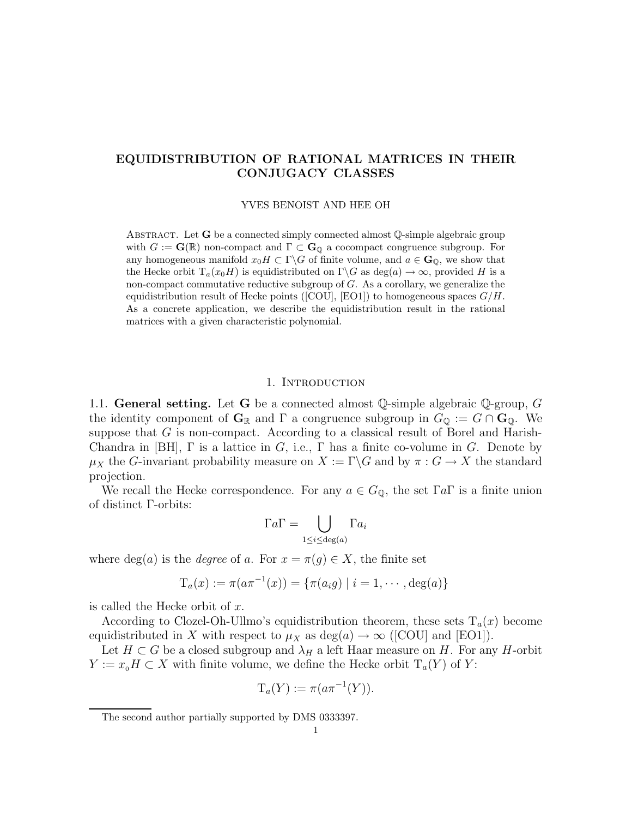# EQUIDISTRIBUTION OF RATIONAL MATRICES IN THEIR CONJUGACY CLASSES

YVES BENOIST AND HEE OH

ABSTRACT. Let  $G$  be a connected simply connected almost  $\mathbb Q$ -simple algebraic group with  $G := \mathbf{G}(\mathbb{R})$  non-compact and  $\Gamma \subset \mathbf{G}_0$  a cocompact congruence subgroup. For any homogeneous manifold  $x_0H \subset \Gamma \backslash G$  of finite volume, and  $a \in \mathbf{G}_{\mathbb{Q}}$ , we show that the Hecke orbit  $T_a(x_0H)$  is equidistributed on  $\Gamma \backslash G$  as  $deg(a) \to \infty$ , provided H is a non-compact commutative reductive subgroup of G. As a corollary, we generalize the equidistribution result of Hecke points ([COU], [EO1]) to homogeneous spaces  $G/H$ . As a concrete application, we describe the equidistribution result in the rational matrices with a given characteristic polynomial.

## 1. INTRODUCTION

1.1. General setting. Let G be a connected almost  $\mathbb Q$ -simple algebraic  $\mathbb Q$ -group, G the identity component of  $\mathbf{G}_{\mathbb{R}}$  and  $\Gamma$  a congruence subgroup in  $G_{\mathbb{Q}} := G \cap \mathbf{G}_{\mathbb{Q}}$ . We suppose that  $G$  is non-compact. According to a classical result of Borel and Harish-Chandra in [BH],  $\Gamma$  is a lattice in G, i.e.,  $\Gamma$  has a finite co-volume in G. Denote by  $\mu_X$  the G-invariant probability measure on  $X := \Gamma \backslash G$  and by  $\pi : G \to X$  the standard projection.

We recall the Hecke correspondence. For any  $a \in G_{\mathbb{Q}}$ , the set  $\Gamma a \Gamma$  is a finite union of distinct Γ-orbits:

$$
\Gamma a \Gamma = \bigcup_{1 \leq i \leq \deg(a)} \Gamma a_i
$$

where  $deg(a)$  is the *degree* of a. For  $x = \pi(g) \in X$ , the finite set

$$
T_a(x) := \pi(a\pi^{-1}(x)) = \{\pi(a_i g) \mid i = 1, \cdots, \deg(a)\}\
$$

is called the Hecke orbit of x.

According to Clozel-Oh-Ullmo's equidistribution theorem, these sets  $T_a(x)$  become equidistributed in X with respect to  $\mu_X$  as  $deg(a) \to \infty$  ([COU] and [EO1]).

Let  $H \subset G$  be a closed subgroup and  $\lambda_H$  a left Haar measure on H. For any H-orbit  $Y := x_0H \subset X$  with finite volume, we define the Hecke orbit  $T_a(Y)$  of Y:

$$
T_a(Y) := \pi(a\pi^{-1}(Y)).
$$

The second author partially supported by DMS 0333397.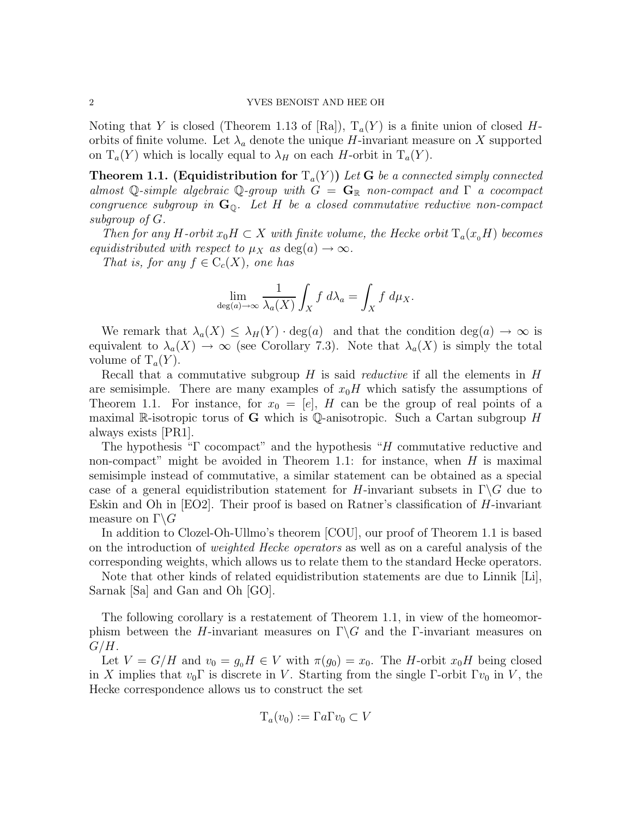Noting that Y is closed (Theorem 1.13 of [Ra]),  $T_a(Y)$  is a finite union of closed Horbits of finite volume. Let  $\lambda_a$  denote the unique H-invariant measure on X supported on  $T_a(Y)$  which is locally equal to  $\lambda_H$  on each H-orbit in  $T_a(Y)$ .

**Theorem 1.1. (Equidistribution for**  $T_a(Y)$ ) Let **G** be a connected simply connected almost Q-simple algebraic Q-group with  $G = \mathbf{G}_{\mathbb{R}}$  non-compact and  $\Gamma$  a cocompact congruence subgroup in  $G_{\mathbb{Q}}$ . Let H be a closed commutative reductive non-compact subgroup of G.

Then for any H-orbit  $x_0H \subset X$  with finite volume, the Hecke orbit  $T_a(x_0H)$  becomes equidistributed with respect to  $\mu_X$  as  $deg(a) \to \infty$ .

That is, for any  $f \in C_c(X)$ , one has

$$
\lim_{\deg(a)\to\infty}\frac{1}{\lambda_a(X)}\int_X f\ d\lambda_a=\int_X f\ d\mu_X.
$$

We remark that  $\lambda_a(X) \leq \lambda_H(Y) \cdot \deg(a)$  and that the condition  $\deg(a) \to \infty$  is equivalent to  $\lambda_a(X) \to \infty$  (see Corollary 7.3). Note that  $\lambda_a(X)$  is simply the total volume of  $T_a(Y)$ .

Recall that a commutative subgroup  $H$  is said *reductive* if all the elements in  $H$ are semisimple. There are many examples of  $x_0H$  which satisfy the assumptions of Theorem 1.1. For instance, for  $x_0 = [e]$ , H can be the group of real points of a maximal R-isotropic torus of G which is Q-anisotropic. Such a Cartan subgroup  $H$ always exists [PR1].

The hypothesis "Γ cocompact" and the hypothesis "H commutative reductive and non-compact" might be avoided in Theorem 1.1: for instance, when  $H$  is maximal semisimple instead of commutative, a similar statement can be obtained as a special case of a general equidistribution statement for H-invariant subsets in  $\Gamma \backslash G$  due to Eskin and Oh in [EO2]. Their proof is based on Ratner's classification of H-invariant measure on  $\Gamma \backslash G$ 

In addition to Clozel-Oh-Ullmo's theorem [COU], our proof of Theorem 1.1 is based on the introduction of weighted Hecke operators as well as on a careful analysis of the corresponding weights, which allows us to relate them to the standard Hecke operators.

Note that other kinds of related equidistribution statements are due to Linnik [Li], Sarnak [Sa] and Gan and Oh [GO].

The following corollary is a restatement of Theorem 1.1, in view of the homeomorphism between the H-invariant measures on  $\Gamma \backslash G$  and the Γ-invariant measures on  $G/H$ .

Let  $V = G/H$  and  $v_0 = g_0H \in V$  with  $\pi(g_0) = x_0$ . The H-orbit  $x_0H$  being closed in X implies that  $v_0\Gamma$  is discrete in V. Starting from the single Γ-orbit Γ $v_0$  in V, the Hecke correspondence allows us to construct the set

$$
T_a(v_0) := \Gamma a \Gamma v_0 \subset V
$$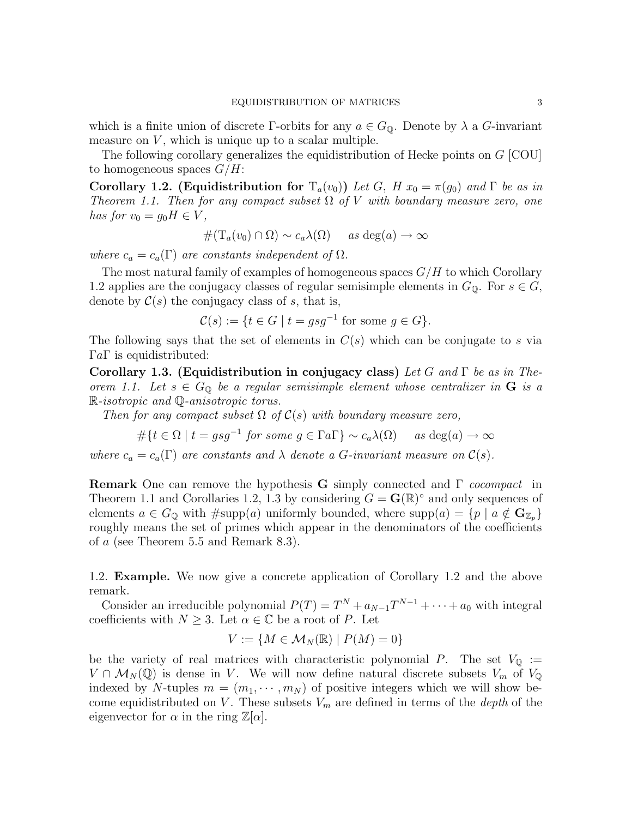which is a finite union of discrete Γ-orbits for any  $a \in G_0$ . Denote by  $\lambda$  a G-invariant measure on  $V$ , which is unique up to a scalar multiple.

The following corollary generalizes the equidistribution of Hecke points on G [COU] to homogeneous spaces  $G/H$ :

Corollary 1.2. (Equidistribution for  $T_a(v_0)$ ) Let G, H  $x_0 = \pi(g_0)$  and  $\Gamma$  be as in Theorem 1.1. Then for any compact subset  $\Omega$  of V with boundary measure zero, one has for  $v_0 = g_0 H \in V$ ,

$$
#(T_a(v_0) \cap \Omega) \sim c_a \lambda(\Omega) \quad \text{as deg}(a) \to \infty
$$

where  $c_a = c_a(\Gamma)$  are constants independent of  $\Omega$ .

The most natural family of examples of homogeneous spaces  $G/H$  to which Corollary 1.2 applies are the conjugacy classes of regular semisimple elements in  $G_{\mathbb{Q}}$ . For  $s \in G$ , denote by  $\mathcal{C}(s)$  the conjugacy class of s, that is,

$$
\mathcal{C}(s) := \{ t \in G \mid t = gsg^{-1} \text{ for some } g \in G \}.
$$

The following says that the set of elements in  $C(s)$  which can be conjugate to s via  $\Gamma a \Gamma$  is equidistributed:

Corollary 1.3. (Equidistribution in conjugacy class) Let G and  $\Gamma$  be as in Theorem 1.1. Let  $s \in G_{\mathbb{Q}}$  be a regular semisimple element whose centralizer in **G** is a R-isotropic and Q-anisotropic torus.

Then for any compact subset  $\Omega$  of  $\mathcal{C}(s)$  with boundary measure zero,

$$
\#\{t \in \Omega \mid t = gsg^{-1} \text{ for some } g \in \Gamma a \Gamma\} \sim c_a \lambda(\Omega) \quad \text{ as } \deg(a) \to \infty
$$

where  $c_a = c_a(\Gamma)$  are constants and  $\lambda$  denote a G-invariant measure on  $\mathcal{C}(s)$ .

**Remark** One can remove the hypothesis G simply connected and  $\Gamma$  *cocompact* in Theorem 1.1 and Corollaries 1.2, 1.3 by considering  $G = \mathbf{G}(\mathbb{R})^{\circ}$  and only sequences of elements  $a \in G_0$  with  $\# \text{supp}(a)$  uniformly bounded, where  $\text{supp}(a) = \{p \mid a \notin \mathbb{G}_{\mathbb{Z}_p}\}\$ roughly means the set of primes which appear in the denominators of the coefficients of a (see Theorem 5.5 and Remark 8.3).

1.2. Example. We now give a concrete application of Corollary 1.2 and the above remark.

Consider an irreducible polynomial  $P(T) = T^{N} + a_{N-1}T^{N-1} + \cdots + a_0$  with integral coefficients with  $N \geq 3$ . Let  $\alpha \in \mathbb{C}$  be a root of P. Let

$$
V := \{ M \in \mathcal{M}_N(\mathbb{R}) \mid P(M) = 0 \}
$$

be the variety of real matrices with characteristic polynomial P. The set  $V_{\mathbb{Q}} :=$  $V \cap \mathcal{M}_N(\mathbb{Q})$  is dense in V. We will now define natural discrete subsets  $V_m$  of  $V_{\mathbb{Q}}$ indexed by N-tuples  $m = (m_1, \dots, m_N)$  of positive integers which we will show become equidistributed on V. These subsets  $V_m$  are defined in terms of the *depth* of the eigenvector for  $\alpha$  in the ring  $\mathbb{Z}[\alpha]$ .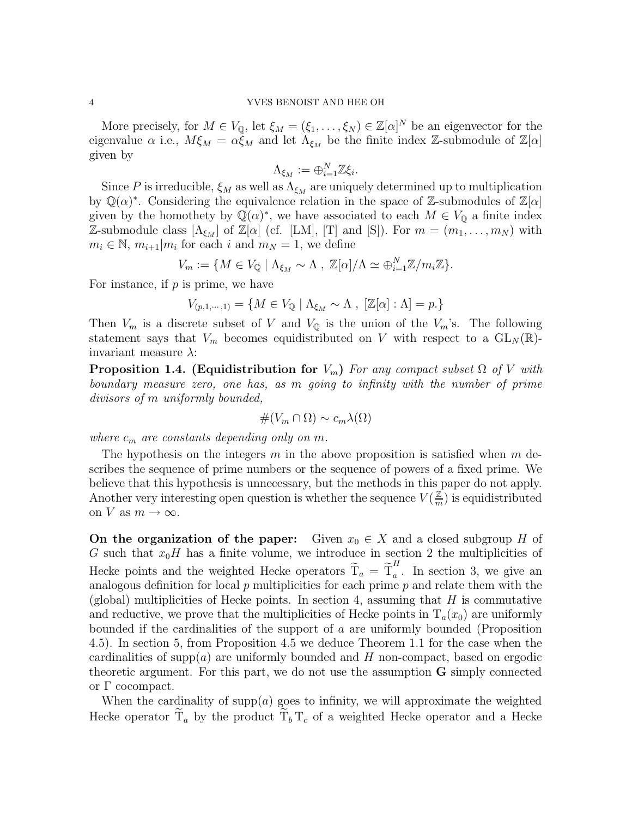More precisely, for  $M \in V_{\mathbb{Q}}$ , let  $\xi_M = (\xi_1, \dots, \xi_N) \in \mathbb{Z}[\alpha]^N$  be an eigenvector for the eigenvalue  $\alpha$  i.e.,  $M\xi_M = \alpha \xi_M$  and let  $\Lambda_{\xi_M}$  be the finite index Z-submodule of  $\mathbb{Z}[\alpha]$ given by

$$
\Lambda_{\xi_M}:=\oplus_{i=1}^N\mathbb{Z}\xi_i.
$$

Since P is irreducible,  $\xi_M$  as well as  $\Lambda_{\xi_M}$  are uniquely determined up to multiplication by  $\mathbb{Q}(\alpha)^*$ . Considering the equivalence relation in the space of Z-submodules of  $\mathbb{Z}[\alpha]$ given by the homothety by  $\mathbb{Q}(\alpha)^*$ , we have associated to each  $M \in V_{\mathbb{Q}}$  a finite index Z-submodule class  $[\Lambda_{\xi_M}]$  of Z[ $\alpha$ ] (cf. [LM], [T] and [S]). For  $m = (m_1, \ldots, m_N)$  with  $m_i \in \mathbb{N}, m_{i+1}|m_i$  for each i and  $m_N = 1$ , we define

$$
V_m := \{ M \in V_{\mathbb{Q}} \mid \Lambda_{\xi_M} \sim \Lambda , \ \mathbb{Z}[\alpha] / \Lambda \simeq \bigoplus_{i=1}^N \mathbb{Z} / m_i \mathbb{Z} \}.
$$

For instance, if  $p$  is prime, we have

$$
V_{(p,1,\dots,1)} = \{ M \in V_{\mathbb{Q}} \mid \Lambda_{\xi_M} \sim \Lambda , \ [\mathbb{Z}[\alpha] : \Lambda] = p. \}
$$

Then  $V_m$  is a discrete subset of V and  $V_{\mathbb{Q}}$  is the union of the  $V_m$ 's. The following statement says that  $V_m$  becomes equidistributed on V with respect to a  $GL_N(\mathbb{R})$ invariant measure  $\lambda$ :

**Proposition 1.4. (Equidistribution for**  $V_m$ ) For any compact subset  $\Omega$  of V with boundary measure zero, one has, as m going to infinity with the number of prime divisors of m uniformly bounded,

$$
\#(V_m \cap \Omega) \sim c_m \lambda(\Omega)
$$

where  $c_m$  are constants depending only on m.

The hypothesis on the integers m in the above proposition is satisfied when  $m$  describes the sequence of prime numbers or the sequence of powers of a fixed prime. We believe that this hypothesis is unnecessary, but the methods in this paper do not apply. Another very interesting open question is whether the sequence  $V(\frac{Z}{m})$  $\frac{\mathbb{Z}}{m}$ ) is equidistributed on V as  $m \to \infty$ .

On the organization of the paper: Given  $x_0 \in X$  and a closed subgroup H of G such that  $x_0H$  has a finite volume, we introduce in section 2 the multiplicities of Hecke points and the weighted Hecke operators  $\tilde{T}_a = \tilde{T}_a^H$  $\int_a^b$ . In section 3, we give an analogous definition for local  $p$  multiplicities for each prime  $p$  and relate them with the (global) multiplicities of Hecke points. In section 4, assuming that  $H$  is commutative and reductive, we prove that the multiplicities of Hecke points in  $T_a(x_0)$  are uniformly bounded if the cardinalities of the support of a are uniformly bounded (Proposition 4.5). In section 5, from Proposition 4.5 we deduce Theorem 1.1 for the case when the cardinalities of supp(a) are uniformly bounded and  $H$  non-compact, based on ergodic theoretic argument. For this part, we do not use the assumption G simply connected or Γ cocompact.

When the cardinality of supp $(a)$  goes to infinity, we will approximate the weighted Hecke operator  $T_a$  by the product  $T_b T_c$  of a weighted Hecke operator and a Hecke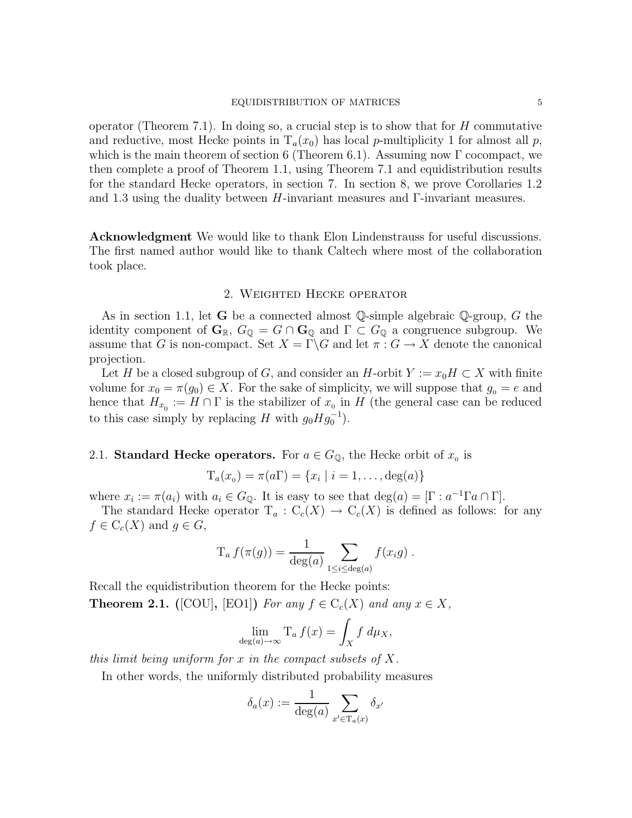operator (Theorem 7.1). In doing so, a crucial step is to show that for  $H$  commutative and reductive, most Hecke points in  $T_a(x_0)$  has local p-multiplicity 1 for almost all p, which is the main theorem of section 6 (Theorem 6.1). Assuming now  $\Gamma$  cocompact, we then complete a proof of Theorem 1.1, using Theorem 7.1 and equidistribution results for the standard Hecke operators, in section 7. In section 8, we prove Corollaries 1.2 and 1.3 using the duality between  $H$ -invariant measures and  $\Gamma$ -invariant measures.

Acknowledgment We would like to thank Elon Lindenstrauss for useful discussions. The first named author would like to thank Caltech where most of the collaboration took place.

### 2. Weighted Hecke operator

As in section 1.1, let G be a connected almost Q-simple algebraic Q-group, G the identity component of  $\mathbf{G}_{\mathbb{R}}$ ,  $G_{\mathbb{Q}} = G \cap \mathbf{G}_{\mathbb{Q}}$  and  $\Gamma \subset G_{\mathbb{Q}}$  a congruence subgroup. We assume that G is non-compact. Set  $X = \Gamma \backslash G$  and let  $\pi : G \to X$  denote the canonical projection.

Let H be a closed subgroup of G, and consider an H-orbit  $Y := x_0H \subset X$  with finite volume for  $x_0 = \pi(g_0) \in X$ . For the sake of simplicity, we will suppose that  $g_0 = e$  and hence that  $H_{x_0} := H \cap \Gamma$  is the stabilizer of  $x_0$  in H (the general case can be reduced to this case simply by replacing H with  $g_0 H g_0^{-1}$ .

# 2.1. Standard Hecke operators. For  $a \in G_{\mathbb{Q}}$ , the Hecke orbit of  $x_0$  is

$$
T_a(x_0) = \pi(a\Gamma) = \{x_i \mid i = 1,\ldots,\deg(a)\}
$$

where  $x_i := \pi(a_i)$  with  $a_i \in G_{\mathbb{Q}}$ . It is easy to see that  $\deg(a) = [\Gamma : a^{-1} \Gamma a \cap \Gamma]$ .

The standard Hecke operator  $T_a: C_c(X) \to C_c(X)$  is defined as follows: for any  $f \in C_c(X)$  and  $g \in G$ ,

$$
T_a f(\pi(g)) = \frac{1}{\deg(a)} \sum_{1 \leq i \leq \deg(a)} f(x_i g) .
$$

Recall the equidistribution theorem for the Hecke points:

**Theorem 2.1.** ([COU], [EO1]) For any  $f \in C_c(X)$  and any  $x \in X$ ,

$$
\lim_{\deg(a)\to\infty} \mathrm{T}_a f(x) = \int_X f \, d\mu_X,
$$

this limit being uniform for x in the compact subsets of  $X$ .

In other words, the uniformly distributed probability measures

$$
\delta_a(x) := \frac{1}{\deg(a)} \sum_{x' \in \mathrm{T}_a(x)} \delta_{x'}
$$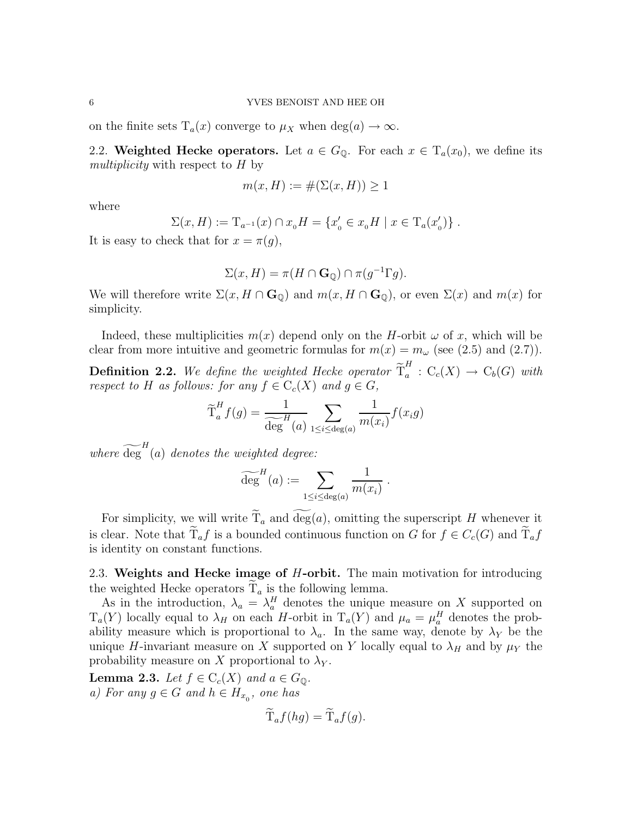on the finite sets  $T_a(x)$  converge to  $\mu_X$  when  $\deg(a) \to \infty$ .

2.2. Weighted Hecke operators. Let  $a \in G_{\mathbb{Q}}$ . For each  $x \in T_a(x_0)$ , we define its multiplicity with respect to H by

$$
m(x, H) := \#(\Sigma(x, H)) \ge 1
$$

where

$$
\Sigma(x, H) := \mathrm{T}_{a^{-1}}(x) \cap x_0 H = \{x'_0 \in x_0 H \mid x \in \mathrm{T}_a(x'_0)\}.
$$

It is easy to check that for  $x = \pi(g)$ ,

$$
\Sigma(x, H) = \pi(H \cap \mathbf{G}_{\mathbb{Q}}) \cap \pi(g^{-1} \Gamma g).
$$

We will therefore write  $\Sigma(x, H \cap \mathbf{G}_{\mathbb{Q}})$  and  $m(x, H \cap \mathbf{G}_{\mathbb{Q}})$ , or even  $\Sigma(x)$  and  $m(x)$  for simplicity.

Indeed, these multiplicities  $m(x)$  depend only on the H-orbit  $\omega$  of x, which will be clear from more intuitive and geometric formulas for  $m(x) = m_{\omega}$  (see (2.5) and (2.7)).

**Definition 2.2.** We define the weighted Hecke operator  $\widetilde{T}_a^H$  $a: C_c(X) \to C_b(G)$  with respect to H as follows: for any  $f \in C_c(X)$  and  $g \in G$ ,

$$
\widetilde{T}_a^H f(g) = \frac{1}{\widetilde{\deg}^H (a)} \sum_{1 \le i \le \deg(a)} \frac{1}{m(x_i)} f(x_i g)
$$

where  $\widetilde{\deg}^H(a)$  denotes the weighted degree:

$$
\widetilde{\text{deg}}^H(a) := \sum_{1 \leq i \leq \text{deg}(a)} \frac{1}{m(x_i)}.
$$

For simplicity, we will write  $\widetilde{T}_a$  and  $\widetilde{\deg}(a)$ , omitting the superscript H whenever it is clear. Note that  $\tilde{T}_a f$  is a bounded continuous function on G for  $f \in C_c(G)$  and  $\tilde{T}_a f$ is identity on constant functions.

2.3. Weights and Hecke image of *H*-orbit. The main motivation for introducing the weighted Hecke operators  $\widetilde{T}_a$  is the following lemma.

As in the introduction,  $\lambda_a = \lambda_a^H$  denotes the unique measure on X supported on  $T_a(Y)$  locally equal to  $\lambda_H$  on each H-orbit in  $T_a(Y)$  and  $\mu_a = \mu_a^H$  denotes the probability measure which is proportional to  $\lambda_a$ . In the same way, denote by  $\lambda_Y$  be the unique H-invariant measure on X supported on Y locally equal to  $\lambda_H$  and by  $\mu_Y$  the probability measure on X proportional to  $\lambda_Y$ .

**Lemma 2.3.** Let  $f \in C_c(X)$  and  $a \in G_{\mathbb{Q}}$ . a) For any  $g \in G$  and  $h \in H_{x_0}$ , one has

$$
\mathrm{T}_a f(hg) = \mathrm{T}_a f(g).
$$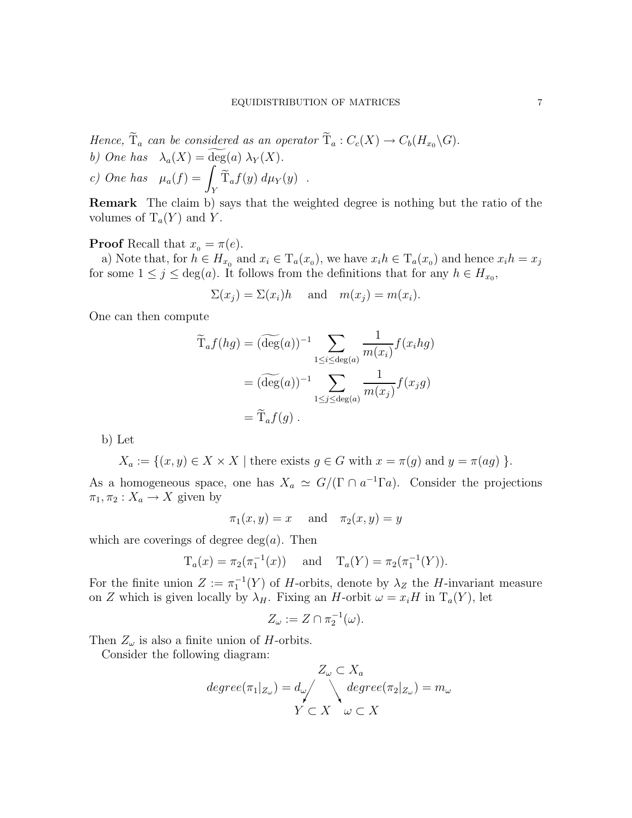Hence,  $\widetilde{T}_a$  can be considered as an operator  $\widetilde{T}_a : C_c(X) \to C_b(H_{x_0} \backslash G)$ . b) One has  $\lambda_a(X) = \widetilde{\deg}(a) \lambda_Y(X)$ . c) One has  $\mu_a(f) =$ Z  $\int_Y \mathrm{T}_a f(y) \ d\mu_Y(y)$ .

Remark The claim b) says that the weighted degree is nothing but the ratio of the volumes of  $T_a(Y)$  and Y.

## **Proof** Recall that  $x_0 = \pi(e)$ .

a) Note that, for  $h \in H_{x_0}$  and  $x_i \in T_a(x_0)$ , we have  $x_i h \in T_a(x_0)$  and hence  $x_i h = x_j$ for some  $1 \leq j \leq \deg(a)$ . It follows from the definitions that for any  $h \in H_{x_0}$ ,

 $\Sigma(x_j) = \Sigma(x_i)h$  and  $m(x_j) = m(x_i)$ .

One can then compute

$$
\widetilde{T}_a f(hg) = (\widetilde{\deg}(a))^{-1} \sum_{1 \le i \le \deg(a)} \frac{1}{m(x_i)} f(x_i h g)
$$

$$
= (\widetilde{\deg}(a))^{-1} \sum_{1 \le j \le \deg(a)} \frac{1}{m(x_j)} f(x_j g)
$$

$$
= \widetilde{T}_a f(g) .
$$

b) Let

$$
X_a := \{(x, y) \in X \times X \mid \text{there exists } g \in G \text{ with } x = \pi(g) \text{ and } y = \pi(ag) \}.
$$

As a homogeneous space, one has  $X_a \simeq G/(\Gamma \cap a^{-1} \Gamma a)$ . Consider the projections  $\pi_1, \pi_2 : X_a \to X$  given by

$$
\pi_1(x, y) = x \quad \text{ and} \quad \pi_2(x, y) = y
$$

which are coverings of degree  $deg(a)$ . Then

$$
T_a(x) = \pi_2(\pi_1^{-1}(x))
$$
 and  $T_a(Y) = \pi_2(\pi_1^{-1}(Y)).$ 

For the finite union  $Z := \pi_1^{-1}(Y)$  of H-orbits, denote by  $\lambda_Z$  the H-invariant measure on Z which is given locally by  $\lambda_H$ . Fixing an H-orbit  $\omega = x_i H$  in  $T_a(Y)$ , let

$$
Z_{\omega} := Z \cap \pi_2^{-1}(\omega).
$$

Then  $Z_{\omega}$  is also a finite union of H-orbits.

Consider the following diagram:

$$
Z_{\omega} \subset X_a
$$
  

$$
degree(\pi_1|_{Z_{\omega}}) = d_{\omega} / \bigwedge_{Y \subset X} degree(\pi_2|_{Z_{\omega}}) = m_{\omega}
$$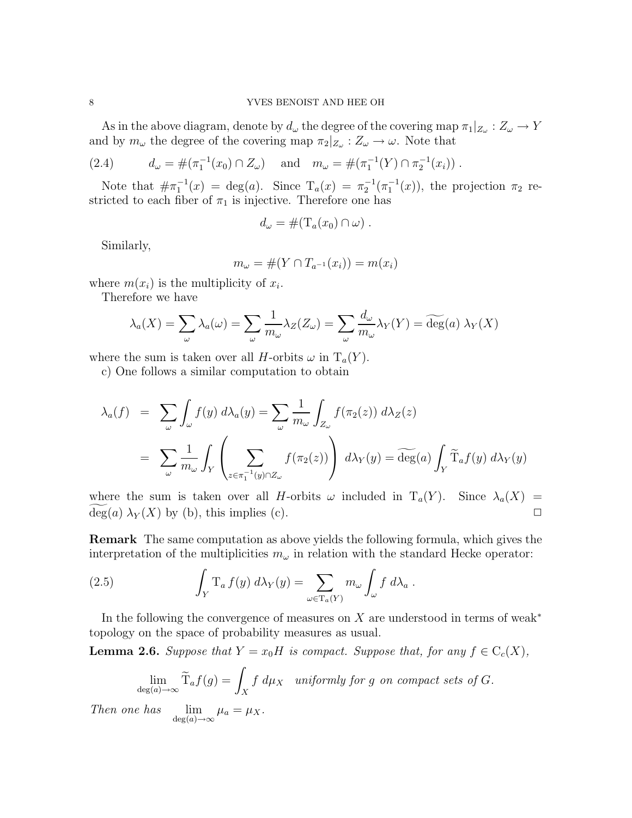As in the above diagram, denote by  $d_{\omega}$  the degree of the covering map  $\pi_1|_{Z_{\omega}}: Z_{\omega} \to Y$ and by  $m_{\omega}$  the degree of the covering map  $\pi_2|_{Z_{\omega}} : Z_{\omega} \to \omega$ . Note that

(2.4) 
$$
d_{\omega} = \#(\pi_1^{-1}(x_0) \cap Z_{\omega}) \quad \text{and} \quad m_{\omega} = \#(\pi_1^{-1}(Y) \cap \pi_2^{-1}(x_i)) .
$$

Note that  $\#\pi_1^{-1}(x) = \deg(a)$ . Since  $T_a(x) = \pi_2^{-1}(\pi_1^{-1}(x))$ , the projection  $\pi_2$  restricted to each fiber of  $\pi_1$  is injective. Therefore one has

$$
d_{\omega} = \#(\mathrm{T}_a(x_0) \cap \omega) .
$$

Similarly,

$$
m_{\omega} = \#(Y \cap T_{a^{-1}}(x_i)) = m(x_i)
$$

where  $m(x_i)$  is the multiplicity of  $x_i$ .

Therefore we have

$$
\lambda_a(X) = \sum_{\omega} \lambda_a(\omega) = \sum_{\omega} \frac{1}{m_{\omega}} \lambda_Z(Z_{\omega}) = \sum_{\omega} \frac{d_{\omega}}{m_{\omega}} \lambda_Y(Y) = \widetilde{\deg}(a) \lambda_Y(X)
$$

where the sum is taken over all H-orbits  $\omega$  in  $T_a(Y)$ .

c) One follows a similar computation to obtain

$$
\lambda_a(f) = \sum_{\omega} \int_{\omega} f(y) d\lambda_a(y) = \sum_{\omega} \frac{1}{m_{\omega}} \int_{Z_{\omega}} f(\pi_2(z)) d\lambda_Z(z)
$$

$$
= \sum_{\omega} \frac{1}{m_{\omega}} \int_{Y} \left( \sum_{z \in \pi_1^{-1}(y) \cap Z_{\omega}} f(\pi_2(z)) \right) d\lambda_Y(y) = \widetilde{\deg}(a) \int_{Y} \widetilde{T}_a f(y) d\lambda_Y(y)
$$

where the sum is taken over all H-orbits  $\omega$  included in  $T_a(Y)$ . Since  $\lambda_a(X)$  =  $deg(a) \lambda_Y(X)$  by (b), this implies (c).

Remark The same computation as above yields the following formula, which gives the interpretation of the multiplicities  $m_{\omega}$  in relation with the standard Hecke operator:

(2.5) 
$$
\int_Y T_a f(y) d\lambda_Y(y) = \sum_{\omega \in T_a(Y)} m_{\omega} \int_{\omega} f d\lambda_a.
$$

In the following the convergence of measures on X are understood in terms of weak<sup>\*</sup> topology on the space of probability measures as usual.

**Lemma 2.6.** Suppose that  $Y = x_0H$  is compact. Suppose that, for any  $f \in C_c(X)$ ,

$$
\lim_{\deg(a)\to\infty} \widetilde{T}_a f(g) = \int_X f \ d\mu_X \quad \text{uniformly for } g \text{ on compact sets of } G.
$$

Then one has  $\lim_{\deg(a)\to\infty} \mu_a = \mu_X$ .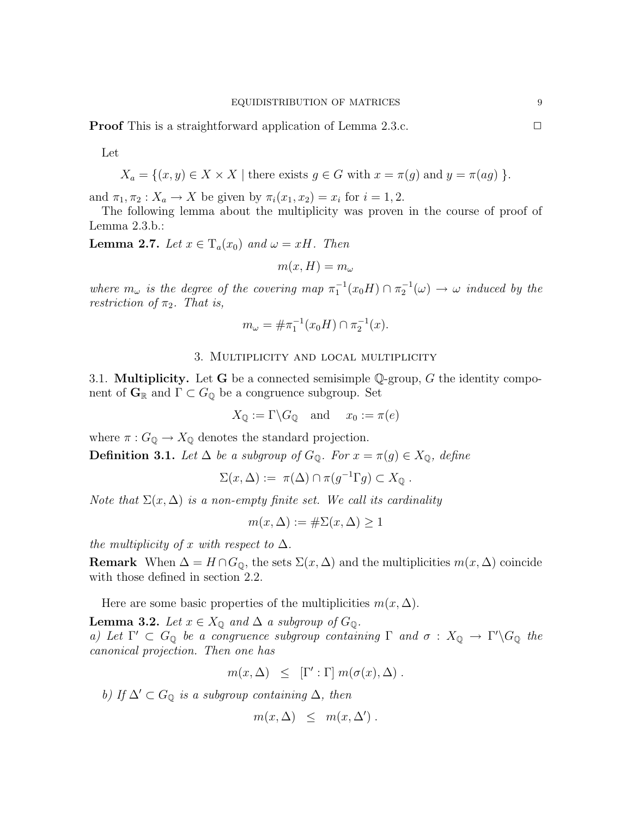**Proof** This is a straightforward application of Lemma 2.3.c. □

Let

$$
X_a = \{(x, y) \in X \times X \mid \text{there exists } g \in G \text{ with } x = \pi(g) \text{ and } y = \pi(ag) \}.
$$

and  $\pi_1, \pi_2 : X_a \to X$  be given by  $\pi_i(x_1, x_2) = x_i$  for  $i = 1, 2$ .

The following lemma about the multiplicity was proven in the course of proof of Lemma 2.3.b.:

**Lemma 2.7.** Let  $x \in T_a(x_0)$  and  $\omega = xH$ . Then

$$
m(x,H)=m_\omega
$$

where  $m_\omega$  is the degree of the covering map  $\pi_1^{-1}(x_0H) \cap \pi_2^{-1}(\omega) \to \omega$  induced by the restriction of  $\pi_2$ . That is,

$$
m_{\omega} = \# \pi_1^{-1}(x_0 H) \cap \pi_2^{-1}(x).
$$

## 3. Multiplicity and local multiplicity

3.1. **Multiplicity.** Let **G** be a connected semisimple Q-group, G the identity component of  $\mathbf{G}_{\mathbb{R}}$  and  $\Gamma \subset G_{\mathbb{Q}}$  be a congruence subgroup. Set

$$
X_{\mathbb{Q}} := \Gamma \backslash G_{\mathbb{Q}} \quad \text{and} \quad x_0 := \pi(e)
$$

where  $\pi: G_{\mathbb{Q}} \to X_{\mathbb{Q}}$  denotes the standard projection.

**Definition 3.1.** Let  $\Delta$  be a subgroup of  $G_0$ . For  $x = \pi(g) \in X_0$ , define

$$
\Sigma(x,\Delta) := \pi(\Delta) \cap \pi(g^{-1} \Gamma g) \subset X_{\mathbb{Q}}.
$$

Note that  $\Sigma(x, \Delta)$  is a non-empty finite set. We call its cardinality

$$
m(x,\Delta) := \#\Sigma(x,\Delta) \ge 1
$$

the multiplicity of x with respect to  $\Delta$ .

**Remark** When  $\Delta = H \cap G_{\mathbb{Q}}$ , the sets  $\Sigma(x, \Delta)$  and the multiplicities  $m(x, \Delta)$  coincide with those defined in section 2.2.

Here are some basic properties of the multiplicities  $m(x, \Delta)$ .

**Lemma 3.2.** Let  $x \in X_{\mathbb{Q}}$  and  $\Delta$  a subgroup of  $G_{\mathbb{Q}}$ . a) Let  $\Gamma' \subset G_{\mathbb{Q}}$  be a congruence subgroup containing  $\Gamma$  and  $\sigma : X_{\mathbb{Q}} \to \Gamma' \backslash G_{\mathbb{Q}}$  the canonical projection. Then one has

$$
m(x, \Delta) \leq [\Gamma': \Gamma] m(\sigma(x), \Delta) .
$$

b) If  $\Delta' \subset G_{\mathbb{Q}}$  is a subgroup containing  $\Delta$ , then

$$
m(x, \Delta) \leq m(x, \Delta') .
$$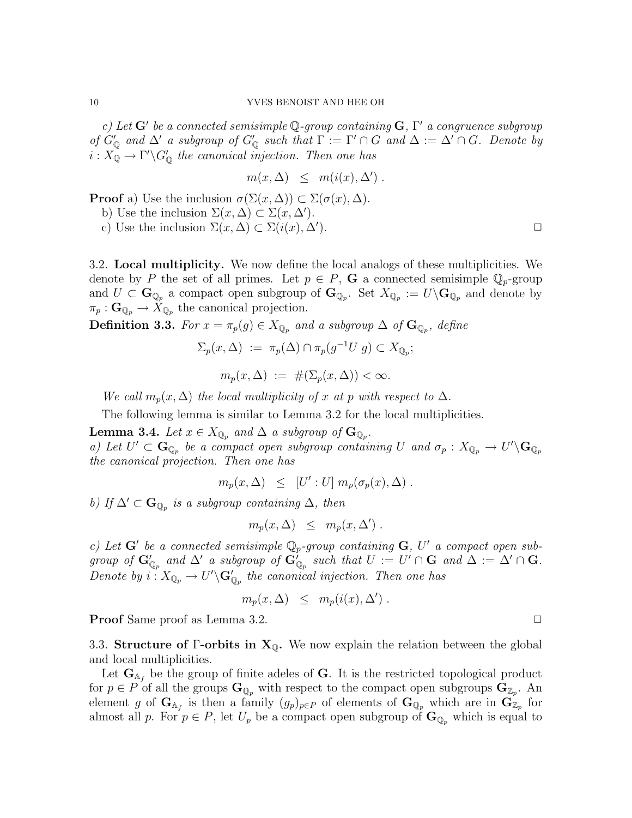c) Let  $G'$  be a connected semisimple Q-group containing  $G, \Gamma'$  a congruence subgroup of  $G'_{\mathbb{Q}}$  and  $\Delta'$  a subgroup of  $G'_{\mathbb{Q}}$  such that  $\Gamma := \Gamma' \cap G$  and  $\Delta := \Delta' \cap G$ . Denote by  $i: X_{\mathbb{Q}} \to \Gamma' \backslash G'_{\mathbb{Q}}$  the canonical injection. Then one has

$$
m(x, \Delta) \leq m(i(x), \Delta').
$$

**Proof** a) Use the inclusion  $\sigma(\Sigma(x,\Delta)) \subset \Sigma(\sigma(x),\Delta)$ .

b) Use the inclusion  $\Sigma(x, \Delta) \subset \Sigma(x, \Delta')$ .

c) Use the inclusion  $\Sigma(x, \Delta) \subset \Sigma(i(x), \Delta').$ 

3.2. Local multiplicity. We now define the local analogs of these multiplicities. We denote by P the set of all primes. Let  $p \in P$ , G a connected semisimple  $\mathbb{Q}_p$ -group and  $U \subset \mathbf{G}_{\mathbb{Q}_p}$  a compact open subgroup of  $\mathbf{G}_{\mathbb{Q}_p}$ . Set  $X_{\mathbb{Q}_p} := U \backslash \mathbf{G}_{\mathbb{Q}_p}$  and denote by  $\pi_p: \mathbf{G}_{\mathbb{Q}_p} \to X_{\mathbb{Q}_p}$  the canonical projection.

**Definition 3.3.** For  $x = \pi_p(g) \in X_{\mathbb{Q}_p}$  and a subgroup  $\Delta$  of  $\mathbf{G}_{\mathbb{Q}_p}$ , define

$$
\Sigma_p(x,\Delta) := \pi_p(\Delta) \cap \pi_p(g^{-1}U \ g) \subset X_{\mathbb{Q}_p};
$$
  

$$
m_p(x,\Delta) := \#(\Sigma_p(x,\Delta)) < \infty.
$$

We call  $m_p(x, \Delta)$  the local multiplicity of x at p with respect to  $\Delta$ .

The following lemma is similar to Lemma 3.2 for the local multiplicities.

**Lemma 3.4.** Let  $x \in X_{\mathbb{Q}_p}$  and  $\Delta$  a subgroup of  $\mathbf{G}_{\mathbb{Q}_p}$ . a) Let  $U' \subset \mathbf{G}_{\mathbb{Q}_p}$  be a compact open subgroup containing U and  $\sigma_p : X_{\mathbb{Q}_p} \to U' \backslash \mathbf{G}_{\mathbb{Q}_p}$ the canonical projection. Then one has

 $m_p(x, \Delta) \leq [U': U] m_p(\sigma_p(x), \Delta).$ 

b) If  $\Delta' \subset \mathbf{G}_{\mathbb{Q}_p}$  is a subgroup containing  $\Delta$ , then

$$
m_p(x,\Delta) \leq m_p(x,\Delta') .
$$

c) Let  $G'$  be a connected semisimple  $\mathbb{Q}_p$ -group containing  $G$ , U' a compact open subgroup of  $\mathbf{G}'_{\mathbb{Q}_p}$  and  $\Delta'$  a subgroup of  $\mathbf{G}'_{\mathbb{Q}_p}$  such that  $U := U' \cap \mathbf{G}$  and  $\Delta := \Delta' \cap \mathbf{G}$ . Denote by  $i: X_{\mathbb{Q}_p} \to U' \backslash \mathbf{G}'_{\mathbb{Q}_p}$  the canonical injection. Then one has

$$
m_p(x,\Delta) \leq m_p(i(x),\Delta').
$$

**Proof** Same proof as Lemma 3.2. ◯

3.3. Structure of Γ-orbits in  $X_0$ . We now explain the relation between the global and local multiplicities.

Let  $\mathbf{G}_{A_f}$  be the group of finite adeles of G. It is the restricted topological product for  $p \in P$  of all the groups  $\mathbf{G}_{\mathbb{Q}_p}$  with respect to the compact open subgroups  $\mathbf{G}_{\mathbb{Z}_p}$ . An element g of  $\mathbf{G}_{A_f}$  is then a family  $(g_p)_{p \in P}$  of elements of  $\mathbf{G}_{\mathbb{Q}_p}$  which are in  $\mathbf{G}_{\mathbb{Z}_p}$  for almost all p. For  $p \in P$ , let  $U_p$  be a compact open subgroup of  $\mathbf{G}_{\mathbb{Q}_p}$  which is equal to

).  $\Box$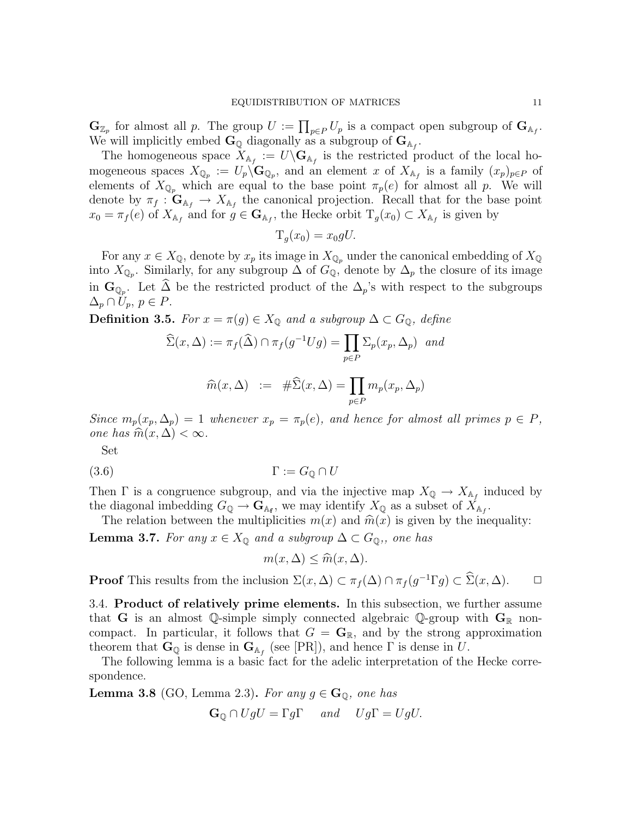$\mathbf{G}_{\mathbb{Z}_p}$  for almost all p. The group  $U := \prod_{p \in P} U_p$  is a compact open subgroup of  $\mathbf{G}_{\mathbb{A}_f}$ . We will implicitly embed  $\mathbf{G}_{\mathbb{Q}}$  diagonally as a subgroup of  $\mathbf{G}_{\mathbb{A}_f}$ .

The homogeneous space  $X_{A_f} := U \backslash \mathbf{G}_{A_f}$  is the restricted product of the local homogeneous spaces  $X_{\mathbb{Q}_p} := U_p \backslash \mathbf{G}_{\mathbb{Q}_p}$ , and an element x of  $X_{\mathbb{A}_f}$  is a family  $(x_p)_{p \in P}$  of elements of  $X_{\mathbb{Q}_p}$  which are equal to the base point  $\pi_p(e)$  for almost all p. We will denote by  $\pi_f : \mathbf{G}_{\mathbb{A}_f} \to X_{\mathbb{A}_f}$  the canonical projection. Recall that for the base point  $x_0 = \pi_f(e)$  of  $X_{\mathbb{A}_f}$  and for  $g \in \mathbf{G}_{\mathbb{A}_f}$ , the Hecke orbit  $T_g(x_0) \subset X_{\mathbb{A}_f}$  is given by

$$
T_g(x_0) = x_0 gU.
$$

For any  $x \in X_{\mathbb{Q}}$ , denote by  $x_p$  its image in  $X_{\mathbb{Q}_p}$  under the canonical embedding of  $X_{\mathbb{Q}}$ into  $X_{\mathbb{Q}_p}$ . Similarly, for any subgroup  $\Delta$  of  $G_{\mathbb{Q}}$ , denote by  $\Delta_p$  the closure of its image in  $\mathbf{G}_{\mathbb{Q}_p}$ . Let  $\Delta$  be the restricted product of the  $\Delta_p$ 's with respect to the subgroups  $\Delta_p \cap U_p, p \in P$ .

**Definition 3.5.** For  $x = \pi(g) \in X_{\mathbb{Q}}$  and a subgroup  $\Delta \subset G_{\mathbb{Q}}$ , define

$$
\widehat{\Sigma}(x,\Delta) := \pi_f(\widehat{\Delta}) \cap \pi_f(g^{-1}Ug) = \prod_{p \in P} \Sigma_p(x_p, \Delta_p) \text{ and}
$$

$$
\widehat{m}(x,\Delta) := \# \widehat{\Sigma}(x,\Delta) = \prod_{p \in P} m_p(x_p, \Delta_p)
$$

Since  $m_p(x_p, \Delta_p) = 1$  whenever  $x_p = \pi_p(e)$ , and hence for almost all primes  $p \in P$ , one has  $\widehat{m}(x, \Delta) < \infty$ .

Set

$$
(3.6) \t\Gamma := G_{\mathbb{Q}} \cap U
$$

Then  $\Gamma$  is a congruence subgroup, and via the injective map  $X_{\mathbb{Q}} \to X_{\mathbb{A}_f}$  induced by the diagonal imbedding  $G_{\mathbb{Q}} \to \mathbf{G}_{A_{\mathbf{f}}},$  we may identify  $X_{\mathbb{Q}}$  as a subset of  $X_{A_{f}}$ .

The relation between the multiplicities  $m(x)$  and  $\widehat{m}(x)$  is given by the inequality:

**Lemma 3.7.** For any  $x \in X_{\mathbb{Q}}$  and a subgroup  $\Delta \subset G_{\mathbb{Q}}$ , one has

 $m(x, \Delta) \leq \widehat{m}(x, \Delta).$ 

**Proof** This results from the inclusion  $\Sigma(x, \Delta) \subset \pi_f(\Delta) \cap \pi_f(g^{-1} \Gamma g) \subset \widehat{\Sigma}(x, \Delta)$ .  $\Box$ 

3.4. Product of relatively prime elements. In this subsection, we further assume that G is an almost Q-simple simply connected algebraic Q-group with  $G_{\mathbb{R}}$  noncompact. In particular, it follows that  $G = \mathbf{G}_{\mathbb{R}}$ , and by the strong approximation theorem that  $\mathbf{G}_{\mathbb{Q}}$  is dense in  $\mathbf{G}_{\mathbb{A}_f}$  (see [PR]), and hence  $\Gamma$  is dense in U.

The following lemma is a basic fact for the adelic interpretation of the Hecke correspondence.

**Lemma 3.8** (GO, Lemma 2.3). For any  $q \in \mathbf{G}_0$ , one has

$$
\mathbf{G}_{\mathbb{Q}} \cap UgU = \Gamma g\Gamma \quad \text{and} \quad Ug\Gamma = UgU.
$$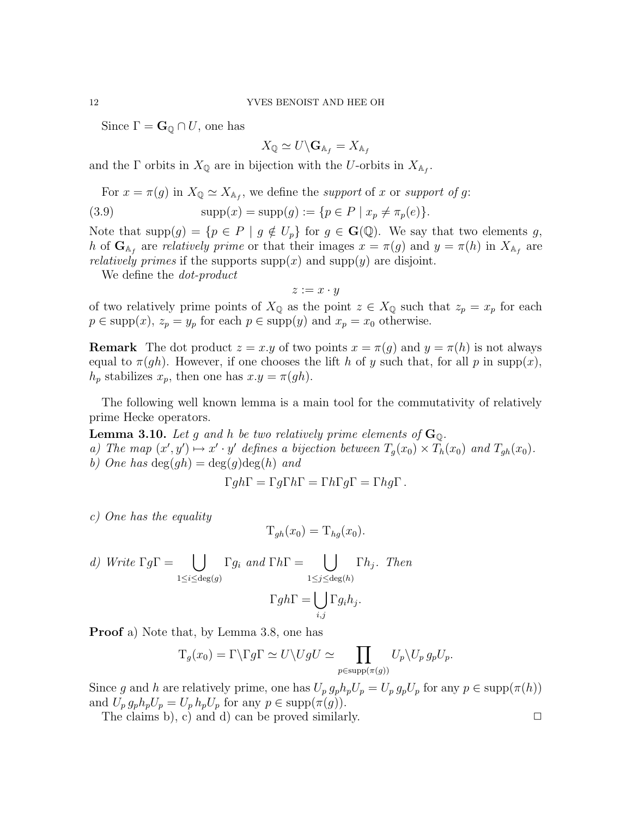Since  $\Gamma = \mathbf{G}_\mathbb{Q} \cap U$ , one has

$$
X_{\mathbb{Q}}\simeq U\backslash \mathbf{G}_{\mathbb{A}_f}=X_{\mathbb{A}_f}
$$

and the  $\Gamma$  orbits in  $X_{\mathbb{Q}}$  are in bijection with the U-orbits in  $X_{\mathbb{A}_f}$ .

For  $x = \pi(g)$  in  $X_{\mathbb{Q}} \simeq X_{\mathbb{A}_f}$ , we define the support of x or support of g:

(3.9) 
$$
\text{supp}(x) = \text{supp}(g) := \{ p \in P \mid x_p \neq \pi_p(e) \}.
$$

Note that  $\text{supp}(g) = \{p \in P \mid g \notin U_p\}$  for  $g \in \mathbf{G}(\mathbb{Q})$ . We say that two elements g, h of  $\mathbf{G}_{A_f}$  are relatively prime or that their images  $x = \pi(g)$  and  $y = \pi(h)$  in  $X_{A_f}$  are *relatively primes* if the supports  $supp(x)$  and  $supp(y)$  are disjoint.

We define the *dot-product* 

 $z := x \cdot y$ 

of two relatively prime points of  $X_{\mathbb{Q}}$  as the point  $z \in X_{\mathbb{Q}}$  such that  $z_p = x_p$  for each  $p \in \text{supp}(x)$ ,  $z_p = y_p$  for each  $p \in \text{supp}(y)$  and  $x_p = x_0$  otherwise.

**Remark** The dot product  $z = x \cdot y$  of two points  $x = \pi(g)$  and  $y = \pi(h)$  is not always equal to  $\pi(gh)$ . However, if one chooses the lift h of y such that, for all p in supp(x),  $h_p$  stabilizes  $x_p$ , then one has  $x.y = \pi(gh)$ .

The following well known lemma is a main tool for the commutativity of relatively prime Hecke operators.

**Lemma 3.10.** Let g and h be two relatively prime elements of  $\mathbf{G}_{\mathbb{Q}}$ . a) The map  $(x', y') \mapsto x' \cdot y'$  defines a bijection between  $T_g(x_0) \times T_h(x_0)$  and  $T_{gh}(x_0)$ . b) One has  $\deg(gh) = \deg(g) \deg(h)$  and

$$
\Gamma gh\Gamma = \Gamma g\Gamma h\Gamma = \Gamma h\Gamma g\Gamma = \Gamma hg\Gamma.
$$

c) One has the equality

$$
T_{gh}(x_0) = T_{hg}(x_0).
$$

d) Write 
$$
\Gamma g \Gamma = \bigcup_{1 \leq i \leq \deg(g)} \Gamma g_i
$$
 and  $\Gamma h \Gamma = \bigcup_{1 \leq j \leq \deg(h)} \Gamma h_j$ . Then  

$$
\Gamma g h \Gamma = \bigcup_{i,j} \Gamma g_i h_j.
$$

Proof a) Note that, by Lemma 3.8, one has

$$
T_g(x_0) = \Gamma \backslash \Gamma g \Gamma \simeq U \backslash UgU \simeq \prod_{p \in \text{supp}(\pi(g))} U_p \backslash U_p g_p U_p.
$$

Since g and h are relatively prime, one has  $U_p g_p h_p U_p = U_p g_p U_p$  for any  $p \in \text{supp}(\pi(h))$ and  $U_p g_p h_p U_p = U_p h_p U_p$  for any  $p \in \text{supp}(\pi(g))$ .

The claims b), c) and d) can be proved similarly.  $\Box$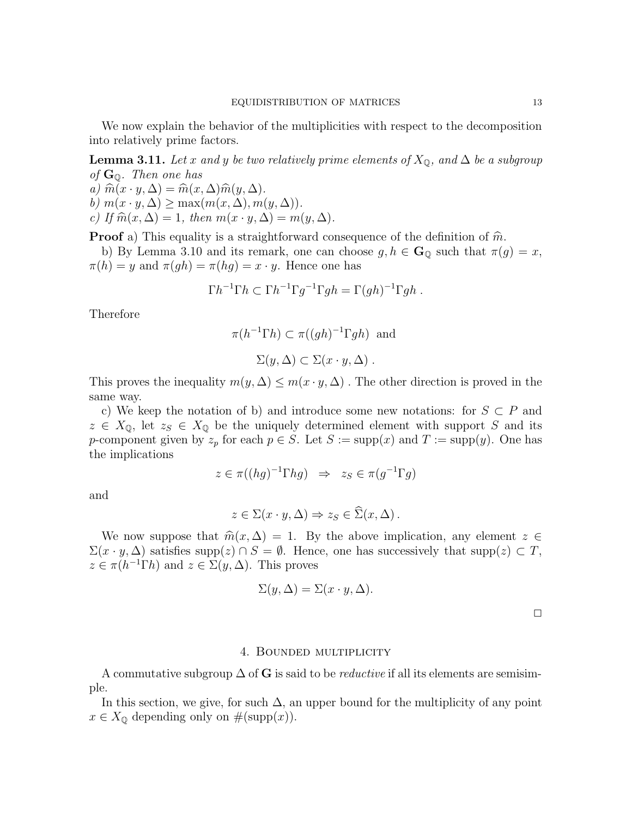We now explain the behavior of the multiplicities with respect to the decomposition into relatively prime factors.

**Lemma 3.11.** Let x and y be two relatively prime elements of  $X_{\mathbb{Q}}$ , and  $\Delta$  be a subgroup of  $\mathbf{G}_{\mathbb{Q}}$ . Then one has

a)  $\widehat{m}(x \cdot y, \Delta) = \widehat{m}(x, \Delta)\widehat{m}(y, \Delta).$ b)  $m(x \cdot y, \Delta) \ge \max(m(x, \Delta), m(y, \Delta)).$ 

c) If  $\widehat{m}(x, \Delta) = 1$ , then  $m(x \cdot y, \Delta) = m(y, \Delta)$ .

**Proof** a) This equality is a straightforward consequence of the definition of  $\hat{m}$ .

b) By Lemma 3.10 and its remark, one can choose  $g, h \in \mathbf{G}_{\mathbb{Q}}$  such that  $\pi(g) = x$ ,  $\pi(h) = y$  and  $\pi(gh) = \pi(hg) = x \cdot y$ . Hence one has

$$
\Gamma h^{-1} \Gamma h \subset \Gamma h^{-1} \Gamma g^{-1} \Gamma gh = \Gamma(gh)^{-1} \Gamma gh .
$$

Therefore

$$
\pi(h^{-1}\Gamma h) \subset \pi((gh)^{-1}\Gamma gh)
$$
 and  
 $\Sigma(y, \Delta) \subset \Sigma(x \cdot y, \Delta)$ .

This proves the inequality  $m(y, \Delta) \leq m(x \cdot y, \Delta)$ . The other direction is proved in the same way.

c) We keep the notation of b) and introduce some new notations: for  $S \subset P$  and  $z \in X_{\mathbb{Q}}$ , let  $z_S \in X_{\mathbb{Q}}$  be the uniquely determined element with support S and its p-component given by  $z_p$  for each  $p \in S$ . Let  $S := \text{supp}(x)$  and  $T := \text{supp}(y)$ . One has the implications

$$
z \in \pi((hg)^{-1} \Gamma hg) \Rightarrow z_S \in \pi(g^{-1} \Gamma g)
$$

and

$$
z \in \Sigma(x \cdot y, \Delta) \Rightarrow z_S \in \widehat{\Sigma}(x, \Delta).
$$

We now suppose that  $\widehat{m}(x, \Delta) = 1$ . By the above implication, any element  $z \in \Delta$  $\Sigma(x \cdot y, \Delta)$  satisfies supp(z)  $\cap S = \emptyset$ . Hence, one has successively that supp(z)  $\subset T$ ,  $z \in \pi(h^{-1}\Gamma h)$  and  $z \in \Sigma(y,\Delta)$ . This proves

$$
\Sigma(y,\Delta) = \Sigma(x \cdot y, \Delta).
$$

## 4. Bounded multiplicity

A commutative subgroup  $\Delta$  of G is said to be *reductive* if all its elements are semisimple.

In this section, we give, for such  $\Delta$ , an upper bound for the multiplicity of any point  $x \in X_{\mathbb{Q}}$  depending only on  $\#(\text{supp}(x)).$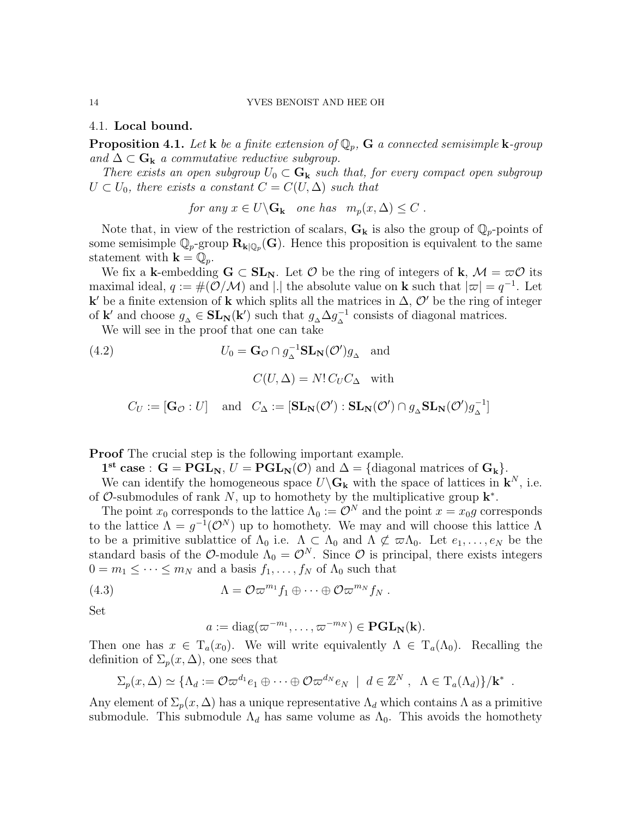4.1. Local bound.

**Proposition 4.1.** Let **k** be a finite extension of  $\mathbb{Q}_p$ , **G** a connected semisimple **k**-group and  $\Delta \subset \mathbf{G}_k$  a commutative reductive subgroup.

There exists an open subgroup  $U_0 \subset \mathbf{G}_k$  such that, for every compact open subgroup  $U \subset U_0$ , there exists a constant  $C = C(U, \Delta)$  such that

for any  $x \in U \backslash G_k$  one has  $m_p(x, \Delta) \leq C$ .

Note that, in view of the restriction of scalars,  $G_k$  is also the group of  $\mathbb{Q}_p$ -points of some semisimple  $\mathbb{Q}_p$ -group  $\mathbf{R}_{\mathbf{k}|\mathbb{Q}_p}(\mathbf{G})$ . Hence this proposition is equivalent to the same statement with  $\mathbf{k} = \mathbb{Q}_p$ .

We fix a k-embedding  $G \subset SL_N$ . Let  $\mathcal O$  be the ring of integers of k,  $\mathcal M = \varpi \mathcal O$  its maximal ideal,  $q := \#(O/M)$  and |.| the absolute value on **k** such that  $|\varpi| = q^{-1}$ . Let k' be a finite extension of k which splits all the matrices in  $\Delta$ ,  $\mathcal{O}'$  be the ring of integer of **k'** and choose  $g_{\Delta} \in SL_N(\mathbf{k}')$  such that  $g_{\Delta} \Delta g_{\Delta}^{-1}$  consists of diagonal matrices.

We will see in the proof that one can take

(4.2) 
$$
U_0 = \mathbf{G}_{\mathcal{O}} \cap g_{\Delta}^{-1} \mathbf{SL}_{\mathbf{N}}(\mathcal{O}')g_{\Delta} \text{ and}
$$

$$
C(U, \Delta) = N! C_U C_{\Delta} \text{ with}
$$

$$
C_U := [\mathbf{G}_{\mathcal{O}} : U] \text{ and } C_{\Delta} := [\mathbf{SL}_{\mathbf{N}}(\mathcal{O}') : \mathbf{SL}_{\mathbf{N}}(\mathcal{O}') \cap g_{\Delta} \mathbf{SL}_{\mathbf{N}}(\mathcal{O}')g_{\Delta}^{-1}]
$$

Proof The crucial step is the following important example.

 $1^{\text{st}}$  case :  $G = PGL_N, U = PGL_N(\mathcal{O})$  and  $\Delta = {\text{diagonal matrices of } G_k}.$ 

We can identify the homogeneous space  $U\backslash G_k$  with the space of lattices in  $k^N$ , i.e. of  $\mathcal{O}$ -submodules of rank N, up to homothety by the multiplicative group  $\mathbf{k}^*$ .

The point  $x_0$  corresponds to the lattice  $\Lambda_0 := \mathcal{O}^N$  and the point  $x = x_0 g$  corresponds to the lattice  $\Lambda = g^{-1}(\mathcal{O}^N)$  up to homothety. We may and will choose this lattice  $\Lambda$ to be a primitive sublattice of  $\Lambda_0$  i.e.  $\Lambda \subset \Lambda_0$  and  $\Lambda \not\subset \varpi \Lambda_0$ . Let  $e_1, \ldots, e_N$  be the standard basis of the O-module  $\Lambda_0 = \mathcal{O}^N$ . Since O is principal, there exists integers  $0 = m_1 \leq \cdots \leq m_N$  and a basis  $f_1, \ldots, f_N$  of  $\Lambda_0$  such that

(4.3) 
$$
\Lambda = \mathcal{O}\varpi^{m_1} f_1 \oplus \cdots \oplus \mathcal{O}\varpi^{m_N} f_N.
$$

Set

$$
a := \mathrm{diag}(\varpi^{-m_1}, \dots, \varpi^{-m_N}) \in \mathbf{PGL}_N(\mathbf{k}).
$$

Then one has  $x \in T_a(x_0)$ . We will write equivalently  $\Lambda \in T_a(\Lambda_0)$ . Recalling the definition of  $\Sigma_p(x,\Delta)$ , one sees that

$$
\Sigma_p(x,\Delta)\simeq \{\Lambda_d:=\mathcal{O}\varpi^{d_1}e_1\oplus\cdots\oplus\mathcal{O}\varpi^{d_N}e_N\,\mid\,d\in\mathbb{Z}^N\,,\ \Lambda\in\mathrm{T}_a(\Lambda_d)\}/\mathbf{k}^*\,.
$$

Any element of  $\Sigma_p(x, \Delta)$  has a unique representative  $\Lambda_d$  which contains  $\Lambda$  as a primitive submodule. This submodule  $\Lambda_d$  has same volume as  $\Lambda_0$ . This avoids the homothety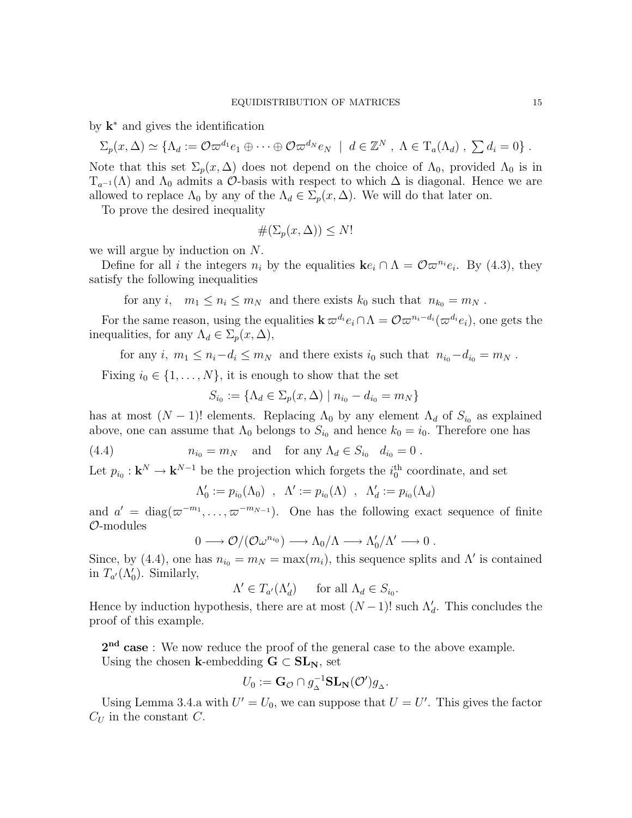by  $k^*$  and gives the identification

$$
\Sigma_p(x,\Delta)\simeq \{\Lambda_d:=\mathcal{O}\varpi^{d_1}e_1\oplus\cdots\oplus\mathcal{O}\varpi^{d_N}e_N\,\mid\,d\in\mathbb{Z}^N\,,\,\Lambda\in\mathrm{T}_a(\Lambda_d)\,,\,\,\sum d_i=0\}\;.
$$

Note that this set  $\Sigma_p(x, \Delta)$  does not depend on the choice of  $\Lambda_0$ , provided  $\Lambda_0$  is in  $T_{a^{-1}}(\Lambda)$  and  $\Lambda_0$  admits a  $\mathcal{O}$ -basis with respect to which  $\Delta$  is diagonal. Hence we are allowed to replace  $\Lambda_0$  by any of the  $\Lambda_d \in \Sigma_p(x, \Delta)$ . We will do that later on.

To prove the desired inequality

$$
\#(\Sigma_p(x,\Delta)) \le N!
$$

we will argue by induction on N.

Define for all *i* the integers  $n_i$  by the equalities  $\mathbf{k}e_i \cap \Lambda = \mathcal{O}\varpi^{n_i}e_i$ . By (4.3), they satisfy the following inequalities

for any i,  $m_1 \leq n_i \leq m_N$  and there exists  $k_0$  such that  $n_{k_0} = m_N$ .

For the same reason, using the equalities  $\mathbf{k} \,\varpi^{d_i} e_i \cap \Lambda = \mathcal{O} \varpi^{n_i-d_i} (\varpi^{d_i} e_i)$ , one gets the inequalities, for any  $\Lambda_d \in \Sigma_p(x, \Delta)$ ,

for any i,  $m_1 \leq n_i - d_i \leq m_N$  and there exists  $i_0$  such that  $n_{i_0} - d_{i_0} = m_N$ .

Fixing  $i_0 \in \{1, \ldots, N\}$ , it is enough to show that the set

$$
S_{i_0} := \{ \Lambda_d \in \Sigma_p(x, \Delta) \mid n_{i_0} - d_{i_0} = m_N \}
$$

has at most  $(N-1)!$  elements. Replacing  $\Lambda_0$  by any element  $\Lambda_d$  of  $S_{i_0}$  as explained above, one can assume that  $\Lambda_0$  belongs to  $S_{i_0}$  and hence  $k_0 = i_0$ . Therefore one has

(4.4) 
$$
n_{i_0} = m_N \quad \text{and} \quad \text{for any } \Lambda_d \in S_{i_0} \quad d_{i_0} = 0 \; .
$$

Let  $p_{i_0}: \mathbf{k}^N \to \mathbf{k}^{N-1}$  be the projection which forgets the  $i_0^{\text{th}}$  coordinate, and set

$$
\Lambda'_0 := p_{i_0}(\Lambda_0) \ , \ \Lambda' := p_{i_0}(\Lambda) \ , \ \Lambda'_d := p_{i_0}(\Lambda_d)
$$

and  $a' = \text{diag}(\varpi^{-m_1}, \ldots, \varpi^{-m_{N-1}})$ . One has the following exact sequence of finite O-modules

$$
0 \longrightarrow \mathcal{O}/(\mathcal{O}\omega^{n_{i_0}}) \longrightarrow \Lambda_0/\Lambda \longrightarrow \Lambda'_0/\Lambda' \longrightarrow 0.
$$

Since, by (4.4), one has  $n_{i_0} = m_N = \max(m_i)$ , this sequence splits and  $\Lambda'$  is contained in  $T_{a}(\Lambda_0')$ . Similarly,

$$
\Lambda' \in T_{a'}(\Lambda'_d) \quad \text{for all } \Lambda_d \in S_{i_0}.
$$

Hence by induction hypothesis, there are at most  $(N-1)!$  such  $\Lambda'_d$ . This concludes the proof of this example.

2<sup>nd</sup> case: We now reduce the proof of the general case to the above example. Using the chosen k-embedding  $G \subset SL_N$ , set

$$
U_0 := \mathbf{G}_{\mathcal{O}} \cap g_{\Delta}^{-1} \mathbf{SL}_{\mathbf{N}}(\mathcal{O}')g_{\Delta}.
$$

Using Lemma 3.4.a with  $U' = U_0$ , we can suppose that  $U = U'$ . This gives the factor  $C_U$  in the constant C.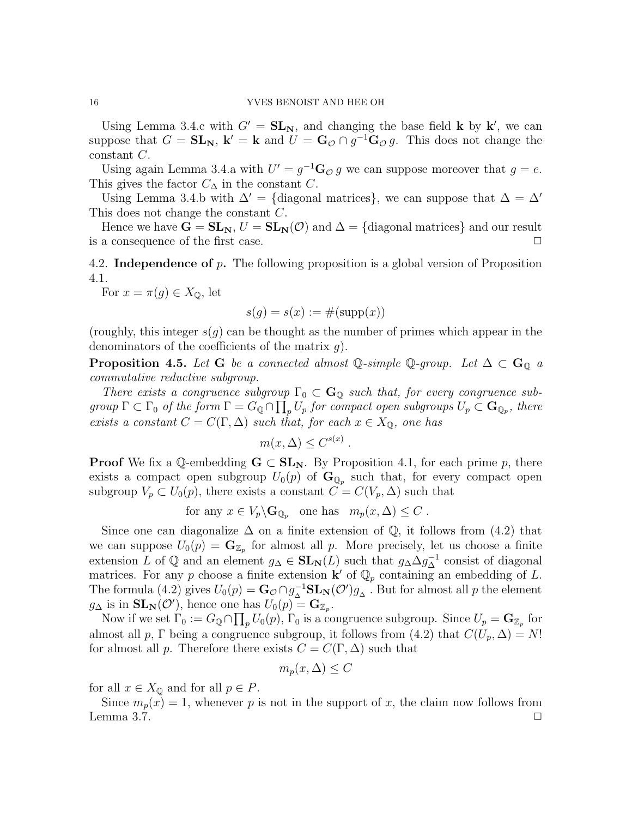Using Lemma 3.4.c with  $G' = SL_N$ , and changing the base field **k** by **k'**, we can suppose that  $G = SL_N$ ,  $\mathbf{k}' = \mathbf{k}$  and  $U = \mathbf{G}_{\mathcal{O}} \cap g^{-1} \mathbf{G}_{\mathcal{O}} g$ . This does not change the constant C.

Using again Lemma 3.4.a with  $U' = g^{-1} \mathbf{G}_{\mathcal{O}} g$  we can suppose moreover that  $g = e$ . This gives the factor  $C_{\Delta}$  in the constant C.

Using Lemma 3.4.b with  $\Delta' = \{$ diagonal matrices $\}$ , we can suppose that  $\Delta = \Delta'$ This does not change the constant C.

Hence we have  $G = SL_N$ ,  $U = SL_N(\mathcal{O})$  and  $\Delta = \{ \text{diagonal matrices} \}$  and our result is a consequence of the first case.  $\Box$ 

4.2. Independence of p. The following proposition is a global version of Proposition 4.1.

For  $x = \pi(g) \in X_{\mathbb{Q}}$ , let

$$
s(g) = s(x) := \#(\text{supp}(x))
$$

(roughly, this integer  $s(q)$  can be thought as the number of primes which appear in the denominators of the coefficients of the matrix  $q$ ).

**Proposition 4.5.** Let G be a connected almost Q-simple Q-group. Let  $\Delta \subset \mathbb{G}_0$  a commutative reductive subgroup.

There exists a congruence subgroup  $\Gamma_0 \subset \mathbf{G}_{\mathbb{Q}}$  such that, for every congruence subgroup  $\Gamma \subset \Gamma_0$  of the form  $\Gamma = G_{\mathbb{Q}} \cap \prod_{p} U_p$  for compact open subgroups  $U_p \subset \mathbf{G}_{\mathbb{Q}_p}$ , there exists a constant  $C = C(\Gamma, \Delta)$  such that, for each  $x \in X_{\mathbb{Q}}$ , one has

$$
m(x,\Delta) \leq C^{s(x)}
$$

**Proof** We fix a Q-embedding  $G \subset SL_N$ . By Proposition 4.1, for each prime p, there exists a compact open subgroup  $U_0(p)$  of  $\mathbf{G}_{\mathbb{Q}_p}$  such that, for every compact open subgroup  $V_p \subset U_0(p)$ , there exists a constant  $C = C(V_p, \Delta)$  such that

.

for any 
$$
x \in V_p \backslash \mathbf{G}_{\mathbb{Q}_p}
$$
 one has  $m_p(x, \Delta) \leq C$ .

Since one can diagonalize  $\Delta$  on a finite extension of  $\mathbb Q$ , it follows from (4.2) that we can suppose  $U_0(p) = \mathbf{G}_{\mathbb{Z}_p}$  for almost all p. More precisely, let us choose a finite extension L of  $\mathbb Q$  and an element  $g_\Delta \in SL_N(L)$  such that  $g_\Delta \Delta g_\Delta^{-1}$  consist of diagonal matrices. For any p choose a finite extension  $\mathbf{k}'$  of  $\mathbb{Q}_p$  containing an embedding of L. The formula (4.2) gives  $U_0(p) = \mathbf{G}_\mathcal{O} \cap g_\Delta^{-1} \mathbf{SL}_\mathbf{N}(\mathcal{O}')g_\Delta$ . But for almost all p the element  $g_{\Delta}$  is in  $SL_N(\mathcal{O}')$ , hence one has  $U_0(p) = \mathbf{G}_{\mathbb{Z}_p}$ .

Now if we set  $\Gamma_0 := G_{\mathbb{Q}} \cap \prod_p U_0(p)$ ,  $\Gamma_0$  is a congruence subgroup. Since  $U_p = \mathbf{G}_{\mathbb{Z}_p}$  for almost all p, Γ being a congruence subgroup, it follows from (4.2) that  $C(U_p, \Delta) = N!$ for almost all p. Therefore there exists  $C = C(\Gamma, \Delta)$  such that

$$
m_p(x,\Delta) \le C
$$

for all  $x \in X_{\mathbb{Q}}$  and for all  $p \in P$ .

Since  $m_p(x) = 1$ , whenever p is not in the support of x, the claim now follows from Lemma 3.7.  $\Box$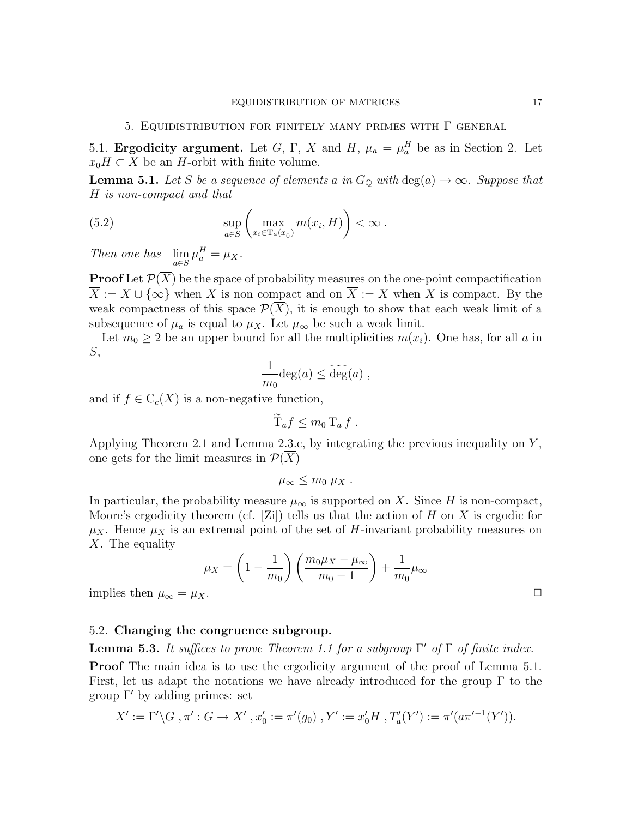5.1. **Ergodicity argument.** Let G, Γ, X and H,  $\mu_a = \mu_a^H$  be as in Section 2. Let  $x_0H \subset X$  be an H-orbit with finite volume.

**Lemma 5.1.** Let S be a sequence of elements a in  $G_{\mathbb{Q}}$  with  $\text{deg}(a) \to \infty$ . Suppose that H is non-compact and that

(5.2) 
$$
\sup_{a \in S} \left( \max_{x_i \in T_a(x_0)} m(x_i, H) \right) < \infty.
$$

Then one has  $\lim_{a \in S} \mu_a^H = \mu_X$ .

**Proof** Let  $\mathcal{P}(\overline{X})$  be the space of probability measures on the one-point compactification  $\overline{X} := X \cup \{\infty\}$  when X is non compact and on  $\overline{X} := X$  when X is compact. By the weak compactness of this space  $\mathcal{P}(\overline{X})$ , it is enough to show that each weak limit of a subsequence of  $\mu_a$  is equal to  $\mu_X$ . Let  $\mu_\infty$  be such a weak limit.

Let  $m_0 \geq 2$  be an upper bound for all the multiplicities  $m(x_i)$ . One has, for all a in S,

$$
\frac{1}{m_0} \deg(a) \le \widetilde{\deg}(a) ,
$$

and if  $f \in C_c(X)$  is a non-negative function,

 $\widetilde{T}_a f \leq m_0 T_a f$ .

Applying Theorem 2.1 and Lemma 2.3.c, by integrating the previous inequality on Y , one gets for the limit measures in  $\mathcal{P}(X)$ 

$$
\mu_{\infty} \leq m_0 \mu_X.
$$

In particular, the probability measure  $\mu_{\infty}$  is supported on X. Since H is non-compact, Moore's ergodicity theorem (cf. [Zi]) tells us that the action of  $H$  on  $X$  is ergodic for  $\mu_X$ . Hence  $\mu_X$  is an extremal point of the set of H-invariant probability measures on  $X$ . The equality

$$
\mu_X = \left(1 - \frac{1}{m_0}\right) \left(\frac{m_0 \mu_X - \mu_\infty}{m_0 - 1}\right) + \frac{1}{m_0} \mu_\infty
$$
 implies then  $\mu_\infty = \mu_X$ .

# 5.2. Changing the congruence subgroup.

**Lemma 5.3.** It suffices to prove Theorem 1.1 for a subgroup  $\Gamma'$  of  $\Gamma$  of finite index.

**Proof** The main idea is to use the ergodicity argument of the proof of Lemma 5.1. First, let us adapt the notations we have already introduced for the group  $\Gamma$  to the group  $\Gamma'$  by adding primes: set

$$
X' := \Gamma' \backslash G, \pi' : G \to X', x_0' := \pi'(g_0), Y' := x_0'H, T_a'(Y') := \pi'(a\pi'^{-1}(Y')).
$$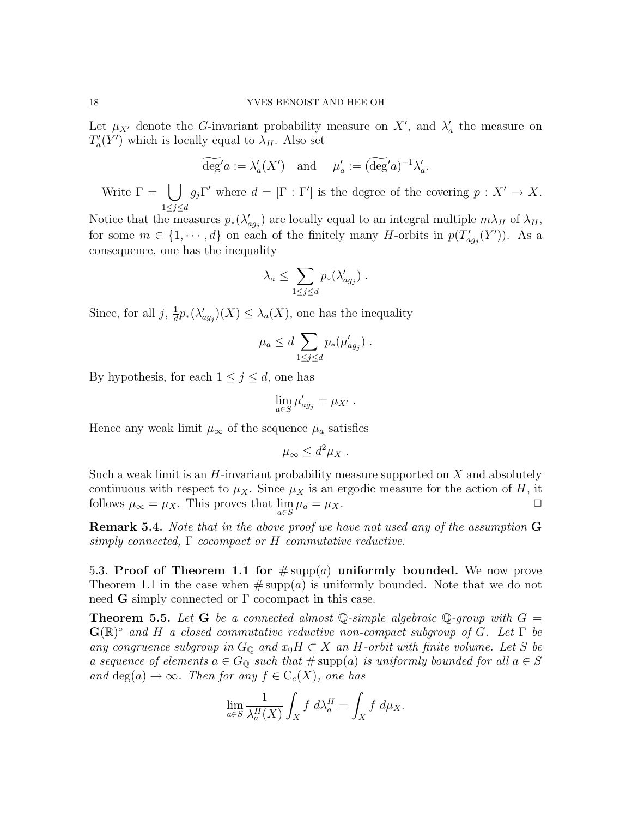Let  $\mu_{X'}$  denote the G-invariant probability measure on X', and  $\lambda'_a$  the measure on  $T_a'(Y')$  which is locally equal to  $\lambda_H$ . Also set

$$
\widetilde{\deg'}a := \lambda'_a(X') \quad \text{and} \quad \mu'_a := (\widetilde{\deg'}a)^{-1}\lambda'_a.
$$

Write  $\Gamma = | \ \ |$  $1\leq j\leq d$  $g_j \Gamma'$  where  $d = [\Gamma : \Gamma']$  is the degree of the covering  $p : X' \to X$ .

Notice that the measures  $p_*(\lambda'_{agj})$  are locally equal to an integral multiple  $m\lambda_H$  of  $\lambda_H$ , for some  $m \in \{1, \dots, d\}$  on each of the finitely many H-orbits in  $p(T'_{ag_j}(Y'))$ . As a consequence, one has the inequality

$$
\lambda_a \leq \sum_{1 \leq j \leq d} p_*(\lambda'_{ag_j}) \ .
$$

Since, for all  $j, \frac{1}{d}$  $\frac{1}{d}p_*(\lambda'_{ag_j})(X) \leq \lambda_a(X)$ , one has the inequality

$$
\mu_a \leq d \sum_{1 \leq j \leq d} p_*(\mu'_{ag_j}) \ .
$$

By hypothesis, for each  $1 \leq j \leq d$ , one has

$$
\lim_{a\in S}\mu'_{ag_j}=\mu_{X'}\ .
$$

Hence any weak limit  $\mu_{\infty}$  of the sequence  $\mu_a$  satisfies

$$
\mu_{\infty} \leq d^2 \mu_X.
$$

Such a weak limit is an  $H$ -invariant probability measure supported on  $X$  and absolutely continuous with respect to  $\mu_X$ . Since  $\mu_X$  is an ergodic measure for the action of H, it follows  $\mu_{\infty} = \mu_X$ . This proves that  $\lim_{a \in S} \mu_a = \mu_X$ .  $\square$ 

Remark 5.4. Note that in the above proof we have not used any of the assumption G simply connected,  $\Gamma$  cocompact or H commutative reductive.

5.3. Proof of Theorem 1.1 for  $\#\text{supp}(a)$  uniformly bounded. We now prove Theorem 1.1 in the case when  $\#\text{supp}(a)$  is uniformly bounded. Note that we do not need  $\bf{G}$  simply connected or  $\Gamma$  cocompact in this case.

**Theorem 5.5.** Let G be a connected almost  $\mathbb{Q}$ -simple algebraic  $\mathbb{Q}$ -group with  $G =$  $\mathbf{G}(\mathbb{R})^{\circ}$  and H a closed commutative reductive non-compact subgroup of G. Let  $\Gamma$  be any congruence subgroup in  $G_{\mathbb{Q}}$  and  $x_0H \subset X$  an H-orbit with finite volume. Let S be a sequence of elements  $a \in G_{\mathbb{Q}}$  such that  $\#\text{supp}(a)$  is uniformly bounded for all  $a \in S$ and deg(a)  $\rightarrow \infty$ . Then for any  $f \in C_c(X)$ , one has

$$
\lim_{a \in S} \frac{1}{\lambda_a^H(X)} \int_X f \, d\lambda_a^H = \int_X f \, d\mu_X.
$$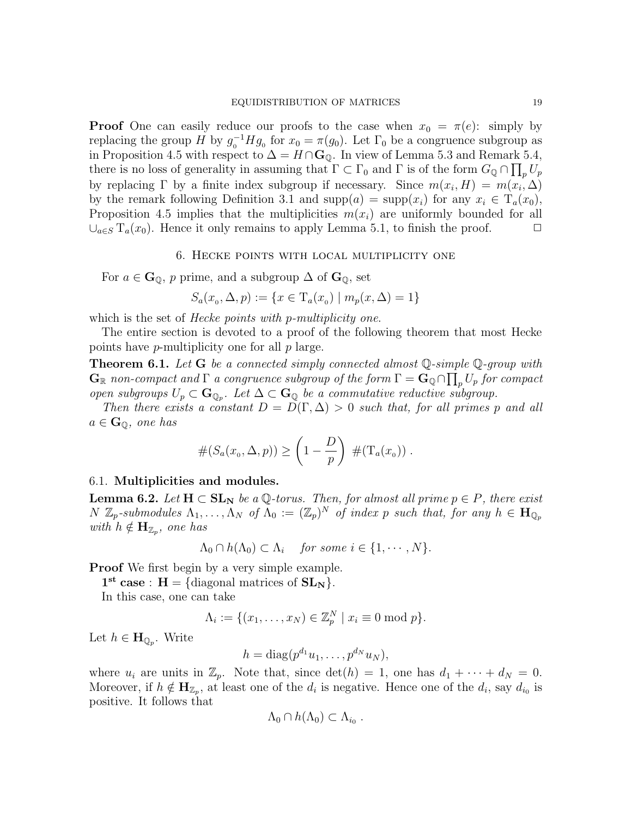**Proof** One can easily reduce our proofs to the case when  $x_0 = \pi(e)$ : simply by replacing the group H by  $g_0^{-1}Hg_0$  for  $x_0 = \pi(g_0)$ . Let  $\Gamma_0$  be a congruence subgroup as in Proposition 4.5 with respect to  $\Delta = H \cap \mathbf{G}_{\mathbb{Q}}$ . In view of Lemma 5.3 and Remark 5.4, there is no loss of generality in assuming that  $\Gamma \subset \Gamma_0$  and  $\Gamma$  is of the form  $G_{\mathbb{Q}} \cap \prod_p U_p$ by replacing  $\Gamma$  by a finite index subgroup if necessary. Since  $m(x_i, H) = m(x_i, \Delta)$ by the remark following Definition 3.1 and  $supp(a) = supp(x_i)$  for any  $x_i \in T_a(x_0)$ , Proposition 4.5 implies that the multiplicities  $m(x_i)$  are uniformly bounded for all  $\bigcup_{a \in S} T_a(x_0)$ . Hence it only remains to apply Lemma 5.1, to finish the proof.

### 6. Hecke points with local multiplicity one

For  $a \in \mathbf{G}_{\mathbb{Q}}$ , p prime, and a subgroup  $\Delta$  of  $\mathbf{G}_{\mathbb{Q}}$ , set

$$
S_a(x_0, \Delta, p) := \{ x \in T_a(x_0) \mid m_p(x, \Delta) = 1 \}
$$

which is the set of *Hecke points with p-multiplicity one*.

The entire section is devoted to a proof of the following theorem that most Hecke points have p-multiplicity one for all p large.

**Theorem 6.1.** Let  $G$  be a connected simply connected almost  $Q$ -simple  $Q$ -group with  $\mathbf{G}_{\mathbb{R}}$  non-compact and  $\Gamma$  a congruence subgroup of the form  $\Gamma = \mathbf{G}_{\mathbb{Q}} \cap \prod_{p} U_p$  for compact open subgroups  $U_p \subset \mathbf{G}_{\mathbb{Q}_p}$ . Let  $\Delta \subset \mathbf{G}_{\mathbb{Q}}$  be a commutative reductive subgroup.

Then there exists a constant  $D = D(\Gamma, \Delta) > 0$  such that, for all primes p and all  $a \in \mathbf{G}_{\mathbb{Q}}$ , one has

$$
#(S_a(x_o, \Delta, p)) \ge \left(1 - \frac{D}{p}\right) #(T_a(x_o)) .
$$

### 6.1. Multiplicities and modules.

**Lemma 6.2.** Let  $H \subset SL_N$  be a  $\mathbb{Q}$ -torus. Then, for almost all prime  $p \in P$ , there exist  $N \mathbb{Z}_p$ -submodules  $\Lambda_1, \ldots, \Lambda_N$  of  $\Lambda_0 := (\mathbb{Z}_p)^N$  of index p such that, for any  $h \in \mathbf{H}_{\mathbb{Q}_p}$ with  $h \notin \mathbf{H}_{\mathbb{Z}_p}$ , one has

$$
\Lambda_0 \cap h(\Lambda_0) \subset \Lambda_i \quad \text{for some } i \in \{1, \cdots, N\}.
$$

Proof We first begin by a very simple example.

 $1<sup>st</sup> case : H = \{diagonal matrices of SL<sub>N</sub>\}.$ 

In this case, one can take

$$
\Lambda_i := \{ (x_1, \ldots, x_N) \in \mathbb{Z}_p^N \mid x_i \equiv 0 \bmod p \}.
$$

Let  $h \in \mathbf{H}_{\mathbb{Q}_p}$ . Write

$$
h=\mathrm{diag}(p^{d_1}u_1,\ldots,p^{d_N}u_N),
$$

where  $u_i$  are units in  $\mathbb{Z}_p$ . Note that, since  $\det(h) = 1$ , one has  $d_1 + \cdots + d_N = 0$ . Moreover, if  $h \notin H_{\mathbb{Z}_p}$ , at least one of the  $d_i$  is negative. Hence one of the  $d_i$ , say  $d_{i_0}$  is positive. It follows that

$$
\Lambda_0 \cap h(\Lambda_0) \subset \Lambda_{i_0} .
$$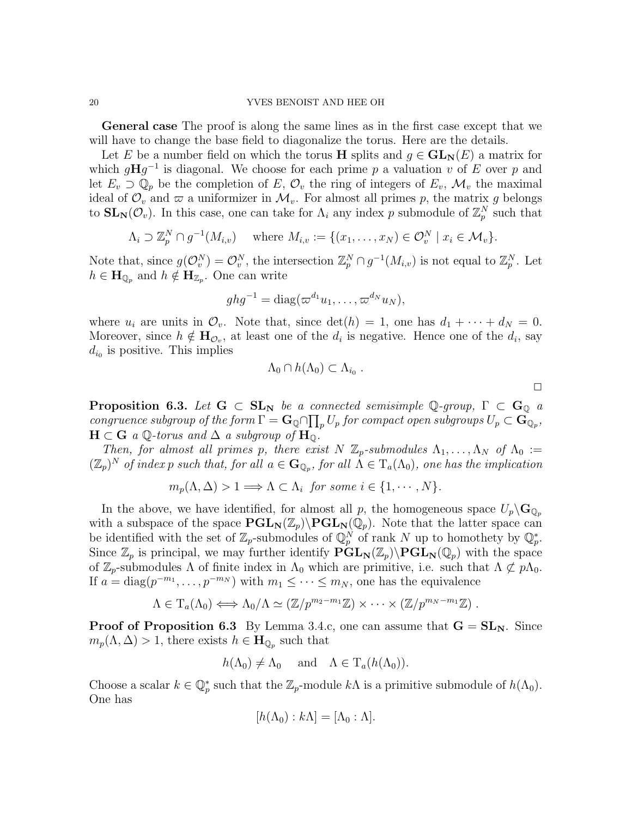General case The proof is along the same lines as in the first case except that we will have to change the base field to diagonalize the torus. Here are the details.

Let E be a number field on which the torus H splits and  $q \in GL_N(E)$  a matrix for which  $gHg^{-1}$  is diagonal. We choose for each prime p a valuation v of E over p and let  $E_v \supset \mathbb{Q}_p$  be the completion of E,  $\mathcal{O}_v$  the ring of integers of  $E_v$ ,  $\mathcal{M}_v$  the maximal ideal of  $\mathcal{O}_v$  and  $\varpi$  a uniformizer in  $\mathcal{M}_v$ . For almost all primes p, the matrix g belongs to  $SL_N(\mathcal{O}_v)$ . In this case, one can take for  $\Lambda_i$  any index p submodule of  $\mathbb{Z}_p^N$  such that

$$
\Lambda_i \supset \mathbb{Z}_p^N \cap g^{-1}(M_{i,v}) \quad \text{where } M_{i,v} := \{(x_1, \ldots, x_N) \in \mathcal{O}_v^N \mid x_i \in \mathcal{M}_v\}.
$$

Note that, since  $g(\mathcal{O}_v^N) = \mathcal{O}_v^N$ , the intersection  $\mathbb{Z}_p^N \cap g^{-1}(M_{i,v})$  is not equal to  $\mathbb{Z}_p^N$ . Let  $h \in \mathbf{H}_{\mathbb{Q}_p}$  and  $h \notin \mathbf{H}_{\mathbb{Z}_p}$ . One can write

$$
ghg^{-1} = \text{diag}(\varpi^{d_1}u_1, \ldots, \varpi^{d_N}u_N),
$$

where  $u_i$  are units in  $\mathcal{O}_v$ . Note that, since  $\det(h) = 1$ , one has  $d_1 + \cdots + d_N = 0$ . Moreover, since  $h \notin H_{\mathcal{O}_v}$ , at least one of the  $d_i$  is negative. Hence one of the  $d_i$ , say  $d_{i_0}$  is positive. This implies

$$
\Lambda_0 \cap h(\Lambda_0) \subset \Lambda_{i_0} .
$$

 $\Box$ 

**Proposition 6.3.** Let  $G \subset SL_N$  be a connected semisimple Q-group,  $\Gamma \subset G_0$  a congruence subgroup of the form  $\Gamma = \mathbf{G}_\mathbb{Q} \cap \prod_p U_p$  for compact open subgroups  $U_p \subset \mathbf{G}_{\mathbb{Q}_p}$ ,  $H \subset G$  a Q-torus and  $\Delta$  a subgroup of  $H_0$ .

Then, for almost all primes p, there exist  $N \mathbb{Z}_p$ -submodules  $\Lambda_1, \ldots, \Lambda_N$  of  $\Lambda_0 :=$  $(\mathbb{Z}_p)^N$  of index p such that, for all  $a \in \mathbf{G}_{\mathbb{Q}_p}$ , for all  $\Lambda \in \mathrm{T}_a(\Lambda_0)$ , one has the implication

 $m_p(\Lambda, \Delta) > 1 \Longrightarrow \Lambda \subset \Lambda_i$  for some  $i \in \{1, \cdots, N\}.$ 

In the above, we have identified, for almost all p, the homogeneous space  $U_p \backslash \mathbf{G}_{\mathbb{Q}_p}$ with a subspace of the space  $\text{PGL}_N(\mathbb{Z}_p)\backslash\text{PGL}_N(\mathbb{Q}_p)$ . Note that the latter space can be identified with the set of  $\mathbb{Z}_p$ -submodules of  $\mathbb{Q}_p^N$  of rank N up to homothety by  $\mathbb{Q}_p^*$ . Since  $\mathbb{Z}_p$  is principal, we may further identify  $\mathbf{PGL}_N(\mathbb{Z}_p)\backslash\mathbf{PGL}_N(\mathbb{Q}_p)$  with the space of  $\mathbb{Z}_p$ -submodules  $\Lambda$  of finite index in  $\Lambda_0$  which are primitive, i.e. such that  $\Lambda \not\subset p\Lambda_0$ . If  $a = \text{diag}(p^{-m_1}, \ldots, p^{-m_N})$  with  $m_1 \leq \cdots \leq m_N$ , one has the equivalence

$$
\Lambda \in T_a(\Lambda_0) \Longleftrightarrow \Lambda_0/\Lambda \simeq (\mathbb{Z}/p^{m_2-m_1}\mathbb{Z}) \times \cdots \times (\mathbb{Z}/p^{m_N-m_1}\mathbb{Z}).
$$

**Proof of Proposition 6.3** By Lemma 3.4.c, one can assume that  $G = SL_N$ . Since  $m_p(\Lambda, \Delta) > 1$ , there exists  $h \in \mathbf{H}_{\mathbb{Q}_p}$  such that

$$
h(\Lambda_0) \neq \Lambda_0
$$
 and  $\Lambda \in T_a(h(\Lambda_0)).$ 

Choose a scalar  $k \in \mathbb{Q}_p^*$  such that the  $\mathbb{Z}_p$ -module  $k\Lambda$  is a primitive submodule of  $h(\Lambda_0)$ . One has

$$
[h(\Lambda_0):k\Lambda]=[\Lambda_0:\Lambda].
$$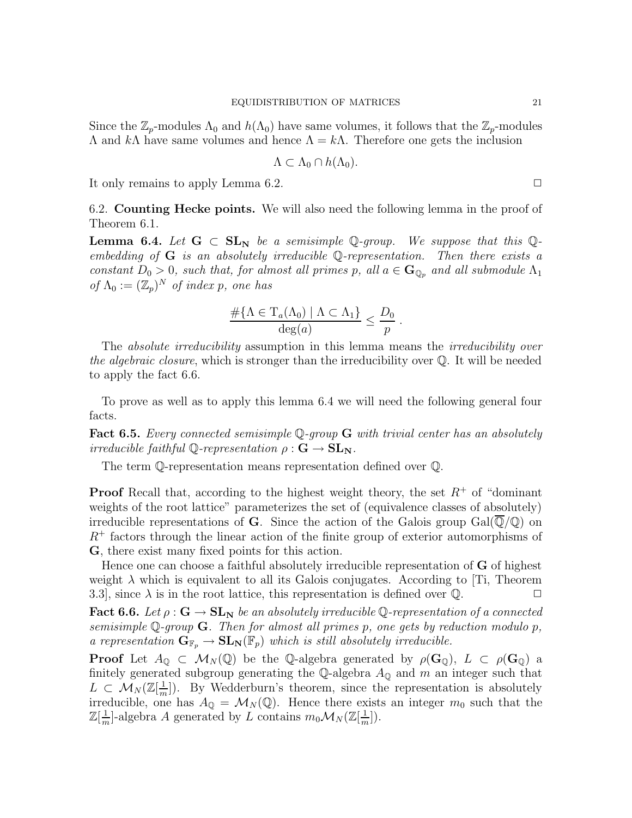Since the  $\mathbb{Z}_p$ -modules  $\Lambda_0$  and  $h(\Lambda_0)$  have same volumes, it follows that the  $\mathbb{Z}_p$ -modules  $Λ$  and  $kΛ$  have same volumes and hence  $Λ = kΛ$ . Therefore one gets the inclusion

$$
\Lambda \subset \Lambda_0 \cap h(\Lambda_0).
$$

It only remains to apply Lemma 6.2.  $\Box$ 

6.2. Counting Hecke points. We will also need the following lemma in the proof of Theorem 6.1.

**Lemma 6.4.** Let  $G \subset SL_N$  be a semisimple Q-group. We suppose that this Qembedding of  $G$  is an absolutely irreducible Q-representation. Then there exists a constant  $D_0 > 0$ , such that, for almost all primes p, all  $a \in \mathbf{G}_{\mathbb{Q}_p}$  and all submodule  $\Lambda_1$ of  $\Lambda_0 := (\mathbb{Z}_p)^N$  of index p, one has

$$
\frac{\#\{\Lambda \in \mathrm{T}_a(\Lambda_0) \mid \Lambda \subset \Lambda_1\}}{\deg(a)} \leq \frac{D_0}{p} .
$$

The *absolute irreducibility* assumption in this lemma means the *irreducibility over* the algebraic closure, which is stronger than the irreducibility over  $\mathbb{Q}$ . It will be needed to apply the fact 6.6.

To prove as well as to apply this lemma 6.4 we will need the following general four facts.

**Fact 6.5.** Every connected semisimple  $\mathbb{Q}$ -group  $\mathbf{G}$  with trivial center has an absolutely irreducible faithful  $\mathbb{Q}$ -representation  $\rho : \mathbf{G} \to \mathbf{SL}_N$ .

The term Q-representation means representation defined over Q.

**Proof** Recall that, according to the highest weight theory, the set  $R^+$  of "dominant" weights of the root lattice" parameterizes the set of (equivalence classes of absolutely) irreducible representations of G. Since the action of the Galois group  $Gal(\overline{\mathbb{Q}}/\mathbb{Q})$  on  $R^+$  factors through the linear action of the finite group of exterior automorphisms of G, there exist many fixed points for this action.

Hence one can choose a faithful absolutely irreducible representation of  $\bf{G}$  of highest weight  $\lambda$  which is equivalent to all its Galois conjugates. According to [Ti, Theorem 3.3, since  $\lambda$  is in the root lattice, this representation is defined over Q.

**Fact 6.6.** Let  $\rho$  :  $G \to SL_N$  be an absolutely irreducible Q-representation of a connected semisimple  $\mathbb Q$ -group  $\mathbf G$ . Then for almost all primes p, one gets by reduction modulo p, a representation  $G_{\mathbb{F}_p} \to SL_N(\mathbb{F}_p)$  which is still absolutely irreducible.

**Proof** Let  $A_{\mathbb{Q}} \subset \mathcal{M}_{N}(\mathbb{Q})$  be the Q-algebra generated by  $\rho(\mathbf{G}_{\mathbb{Q}}), L \subset \rho(\mathbf{G}_{\mathbb{Q}})$  a finitely generated subgroup generating the Q-algebra  $A_{\mathbb{Q}}$  and m an integer such that  $L\, \subset\, \mathcal{M}_N(\mathbb{Z}[\frac{1}{m}$  $\frac{1}{m}$ ). By Wedderburn's theorem, since the representation is absolutely irreducible, one has  $A_{\mathbb{Q}} = \mathcal{M}_N(\mathbb{Q})$ . Hence there exists an integer  $m_0$  such that the  $\mathbb{Z}[\frac{1}{m}]$  $\frac{1}{m}$ -algebra A generated by L contains  $m_0 \mathcal{M}_N(\mathbb{Z}[\frac{1}{m}$  $\frac{1}{m}$ ).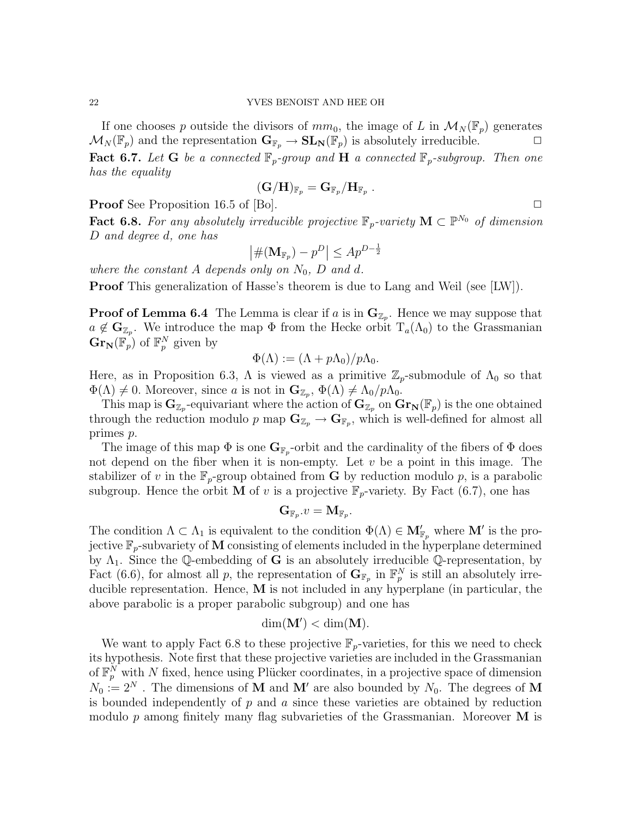If one chooses p outside the divisors of  $mm_0$ , the image of L in  $\mathcal{M}_N(\mathbb{F}_p)$  generates  $\mathcal{M}_N(\mathbb{F}_p)$  and the representation  $\mathbf{G}_{\mathbb{F}_p} \to \mathbf{SL}_N(\mathbb{F}_p)$  is absolutely irreducible. **Fact 6.7.** Let G be a connected  $\mathbb{F}_p$ -group and H a connected  $\mathbb{F}_p$ -subgroup. Then one

has the equality

$$
(\mathbf{G}/\mathbf{H})_{\mathbb{F}_p} = \mathbf{G}_{\mathbb{F}_p}/\mathbf{H}_{\mathbb{F}_p} \ .
$$

**Proof** See Proposition 16.5 of [Bo].  $\Box$ 

**Fact 6.8.** For any absolutely irreducible projective  $\mathbb{F}_p$ -variety  $\mathbf{M} \subset \mathbb{P}^{N_0}$  of dimension D and degree d, one has

$$
\left| \#(\mathbf{M}_{\mathbb{F}_p}) - p^D \right| \leq Ap^{D-\frac{1}{2}}
$$

where the constant A depends only on  $N_0$ , D and d.

Proof This generalization of Hasse's theorem is due to Lang and Weil (see [LW]).

**Proof of Lemma 6.4** The Lemma is clear if a is in  $\mathbf{G}_{\mathbb{Z}_p}$ . Hence we may suppose that  $a \notin \mathbf{G}_{\mathbb{Z}_p}$ . We introduce the map  $\Phi$  from the Hecke orbit  $T_a(\Lambda_0)$  to the Grassmanian  $\mathbf{Gr}_{\mathbf{N}}(\mathbb{F}_p)$  of  $\mathbb{F}_p^N$  given by

$$
\Phi(\Lambda) := (\Lambda + p\Lambda_0)/p\Lambda_0.
$$

Here, as in Proposition 6.3,  $\Lambda$  is viewed as a primitive  $\mathbb{Z}_p$ -submodule of  $\Lambda_0$  so that  $\Phi(\Lambda) \neq 0$ . Moreover, since a is not in  $\mathbf{G}_{\mathbb{Z}_p}, \Phi(\Lambda) \neq \Lambda_0/p\Lambda_0$ .

This map is  $G_{\mathbb{Z}_p}$ -equivariant where the action of  $G_{\mathbb{Z}_p}$  on  $Gr_N(\mathbb{F}_p)$  is the one obtained through the reduction modulo p map  $\mathbf{G}_{\mathbb{Z}_p} \to \mathbf{G}_{\mathbb{F}_p}$ , which is well-defined for almost all primes p.

The image of this map  $\Phi$  is one  $\mathbf{G}_{\mathbb{F}_p}$ -orbit and the cardinality of the fibers of  $\Phi$  does not depend on the fiber when it is non-empty. Let  $v$  be a point in this image. The stabilizer of v in the  $\mathbb{F}_p$ -group obtained from **G** by reduction modulo p, is a parabolic subgroup. Hence the orbit **M** of v is a projective  $\mathbb{F}_p$ -variety. By Fact (6.7), one has

$$
\mathbf{G}_{\mathbb{F}_p}.v=\mathbf{M}_{\mathbb{F}_p}.
$$

The condition  $\Lambda \subset \Lambda_1$  is equivalent to the condition  $\Phi(\Lambda) \in M'_{\mathbb{F}_p}$  where  $\mathbf{M}'$  is the projective  $\mathbb{F}_p$ -subvariety of M consisting of elements included in the hyperplane determined by  $\Lambda_1$ . Since the Q-embedding of **G** is an absolutely irreducible Q-representation, by Fact (6.6), for almost all p, the representation of  $\mathbf{G}_{\mathbb{F}_p}$  in  $\mathbb{F}_p^N$  is still an absolutely irreducible representation. Hence, M is not included in any hyperplane (in particular, the above parabolic is a proper parabolic subgroup) and one has

$$
\dim(\mathbf{M}') < \dim(\mathbf{M}).
$$

We want to apply Fact 6.8 to these projective  $\mathbb{F}_p$ -varieties, for this we need to check its hypothesis. Note first that these projective varieties are included in the Grassmanian of  $\mathbb{F}_p^N$  with N fixed, hence using Plücker coordinates, in a projective space of dimension  $N_0 := 2^N$ . The dimensions of **M** and **M'** are also bounded by  $N_0$ . The degrees of **M** is bounded independently of  $p$  and  $a$  since these varieties are obtained by reduction modulo  $p$  among finitely many flag subvarieties of the Grassmanian. Moreover  **is**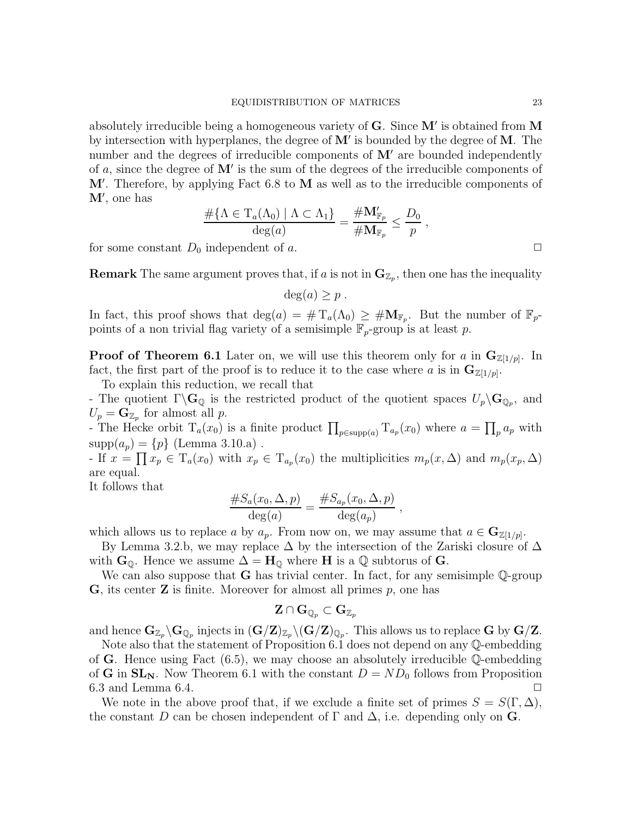absolutely irreducible being a homogeneous variety of  $G$ . Since  $M'$  is obtained from M by intersection with hyperplanes, the degree of  $M'$  is bounded by the degree of  $M$ . The number and the degrees of irreducible components of  $M'$  are bounded independently of  $a$ , since the degree of  $M'$  is the sum of the degrees of the irreducible components of  $M'$ . Therefore, by applying Fact 6.8 to  $M$  as well as to the irreducible components of  $M'$ , one has

$$
\frac{\#\{\Lambda \in \mathrm{T}_a(\Lambda_0) \mid \Lambda \subset \Lambda_1\}}{\deg(a)} = \frac{\#\mathbf{M}'_{\mathbb{F}_p}}{\#\mathbf{M}_{\mathbb{F}_p}} \leq \frac{D_0}{p} ,
$$

for some constant  $D_0$  independent of a.  $\Box$ 

**Remark** The same argument proves that, if a is not in  $\mathbf{G}_{\mathbb{Z}_p}$ , then one has the inequality

$$
\deg(a) \ge p .
$$

In fact, this proof shows that  $deg(a) = #T_a(\Lambda_0) \geq #M_{F_p}$ . But the number of  $F_p$ points of a non trivial flag variety of a semisimple  $\mathbb{F}_p$ -group is at least p.

**Proof of Theorem 6.1** Later on, we will use this theorem only for a in  $\mathbf{G}_{\mathbb{Z}[1/p]}$ . In fact, the first part of the proof is to reduce it to the case where a is in  $\mathbf{G}_{\mathbb{Z}[1/p]}$ .

To explain this reduction, we recall that

- The quotient  $\Gamma \backslash \mathbf{G}_{\mathbb{Q}}$  is the restricted product of the quotient spaces  $U_p \backslash \mathbf{G}_{\mathbb{Q}_p}$ , and  $U_p = \mathbf{G}_{\mathbb{Z}_p}$  for almost all p.

The Hecke orbit  $T_a(x_0)$  is a finite product  $\prod_{p \in \text{supp}(a)} T_{a_p}(x_0)$  where  $a = \prod_p a_p$  with  $supp(a_p) = \{p\}$  (Lemma 3.10.a).

- If  $x = \prod x_p \in T_a(x_0)$  with  $x_p \in T_{a_p}(x_0)$  the multiplicities  $m_p(x, \Delta)$  and  $m_p(x_p, \Delta)$ are equal.

It follows that

$$
\frac{\#S_a(x_0,\Delta,p)}{\deg(a)} = \frac{\#S_{a_p}(x_0,\Delta,p)}{\deg(a_p)},
$$

which allows us to replace a by  $a_p$ . From now on, we may assume that  $a \in \mathbf{G}_{\mathbb{Z}[1/p]}$ .

By Lemma 3.2.b, we may replace  $\Delta$  by the intersection of the Zariski closure of  $\Delta$ with  $\mathbf{G}_{\mathbb{Q}}$ . Hence we assume  $\Delta = \mathbf{H}_{\mathbb{Q}}$  where **H** is a  $\mathbb{Q}$  subtorus of **G**.

We can also suppose that **G** has trivial center. In fact, for any semisimple Q-group  $\bf{G}$ , its center  $\bf{Z}$  is finite. Moreover for almost all primes p, one has

$$
\mathbf{Z} \cap \mathbf{G}_{\mathbb{Q}_p} \subset \mathbf{G}_{\mathbb{Z}_p}
$$

and hence  $G_{\mathbb{Z}_p}\backslash G_{\mathbb{Q}_p}$  injects in  $(G/Z)_{\mathbb{Z}_p}\backslash (G/Z)_{\mathbb{Q}_p}$ . This allows us to replace G by  $G/Z$ .

Note also that the statement of Proposition 6.1 does not depend on any Q-embedding of G. Hence using Fact  $(6.5)$ , we may choose an absolutely irreducible Q-embedding of G in  $SL_N$ . Now Theorem 6.1 with the constant  $D = ND_0$  follows from Proposition 6.3 and Lemma 6.4.  $\Box$ 

We note in the above proof that, if we exclude a finite set of primes  $S = S(\Gamma, \Delta)$ , the constant D can be chosen independent of  $\Gamma$  and  $\Delta$ , i.e. depending only on **G**.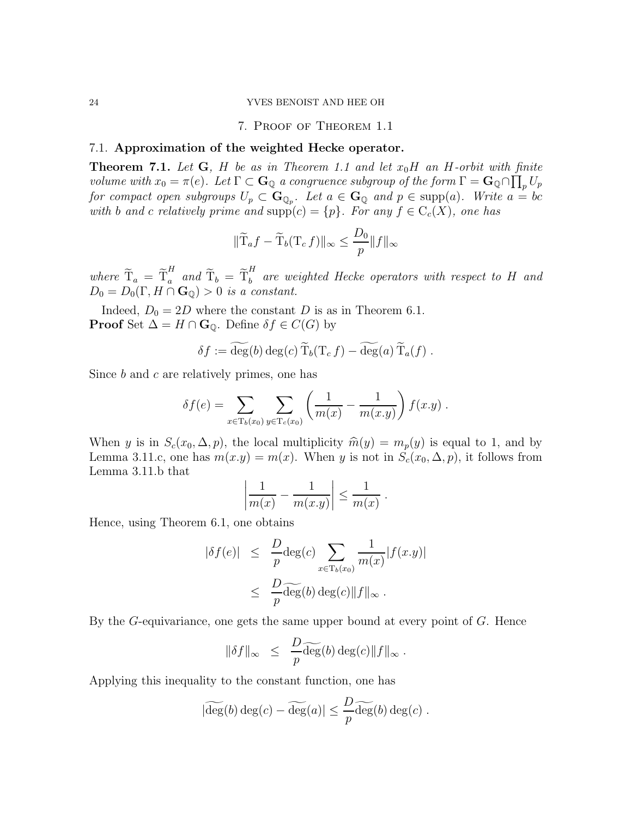## 7. Proof of Theorem 1.1

## 7.1. Approximation of the weighted Hecke operator.

**Theorem 7.1.** Let  $G$ ,  $H$  be as in Theorem 1.1 and let  $x_0H$  an  $H$ -orbit with finite volume with  $x_0 = \pi(e)$ . Let  $\Gamma \subset \mathbf{G}_{\mathbb{Q}}$  a congruence subgroup of the form  $\Gamma = \mathbf{G}_{\mathbb{Q}} \cap \prod_p U_p$ for compact open subgroups  $U_p \subset \mathbf{G}_{\mathbb{Q}_p}$ . Let  $a \in \mathbf{G}_{\mathbb{Q}}$  and  $p \in \text{supp}(a)$ . Write  $a = bc$ with b and c relatively prime and  $\text{supp}(c) = \{p\}$ . For any  $f \in C_c(X)$ , one has

$$
\|\widetilde{\mathbf{T}}_a f - \widetilde{\mathbf{T}}_b (\mathbf{T}_c f)\|_{\infty} \le \frac{D_0}{p} \|f\|_{\infty}
$$

where  $\widetilde{T}_{a} = \widetilde{T}_{a}^{H}$  $\int_a^H$  and  $\widetilde{T}_b = \widetilde{T}_b^H$  $\overline{b}$  are weighted Hecke operators with respect to H and  $D_0 = D_0(\Gamma, H \cap \mathbf{G}_0) > 0$  is a constant.

Indeed,  $D_0 = 2D$  where the constant D is as in Theorem 6.1. **Proof** Set  $\Delta = H \cap \mathbf{G}_{\mathbb{Q}}$ . Define  $\delta f \in C(G)$  by

$$
\delta f := \widehat{\deg}(b) \deg(c) \widetilde{T}_b(T_c f) - \widehat{\deg}(a) \widetilde{T}_a(f) .
$$

Since  $b$  and  $c$  are relatively primes, one has

$$
\delta f(e) = \sum_{x \in \mathrm{T}_b(x_0)} \sum_{y \in \mathrm{T}_c(x_0)} \left( \frac{1}{m(x)} - \frac{1}{m(x,y)} \right) f(x,y) .
$$

When y is in  $S_c(x_0, \Delta, p)$ , the local multiplicity  $\hat{m}(y) = m_p(y)$  is equal to 1, and by Lemma 3.11.c, one has  $m(x,y) = m(x)$ . When y is not in  $S_c(x_0, \Delta, p)$ , it follows from Lemma 3.11.b that

$$
\left|\frac{1}{m(x)} - \frac{1}{m(x.y)}\right| \le \frac{1}{m(x)}.
$$

Hence, using Theorem 6.1, one obtains

$$
\begin{array}{rcl}\n|\delta f(e)| & \leq & \frac{D}{p} \text{deg}(c) \sum_{x \in \text{T}_b(x_0)} \frac{1}{m(x)} |f(x,y)| \\
& \leq & \frac{D}{p} \widetilde{\text{deg}}(b) \text{deg}(c) \|f\|_{\infty}\n\end{array}
$$

By the  $G$ -equivariance, one gets the same upper bound at every point of  $G$ . Hence

$$
\|\delta f\|_\infty \ \leq \ \frac{D}{p} \widetilde{\deg}(b) \deg(c) \|f\|_\infty \ .
$$

Applying this inequality to the constant function, one has

$$
|\widetilde{\deg}(b) \deg(c) - \widetilde{\deg}(a)| \leq \frac{D}{p} \widetilde{\deg}(b) \deg(c) .
$$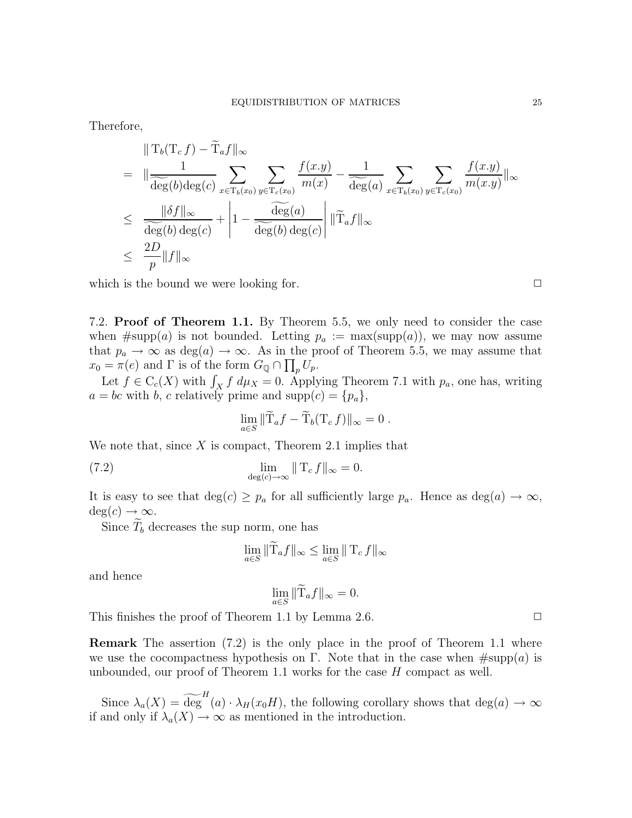Therefore,

$$
\|T_b(T_c f) - T_a f\|_{\infty}
$$
\n
$$
= \|\frac{1}{\widehat{\deg}(b) \deg(c)} \sum_{x \in T_b(x_0)} \sum_{y \in T_c(x_0)} \frac{f(x,y)}{m(x)} - \frac{1}{\widehat{\deg}(a)} \sum_{x \in T_b(x_0)} \sum_{y \in T_c(x_0)} \frac{f(x,y)}{m(x,y)}\|_{\infty}
$$
\n
$$
\leq \frac{\|\delta f\|_{\infty}}{\widehat{\deg}(b) \deg(c)} + \left|1 - \frac{\widehat{\deg}(a)}{\widehat{\deg}(b) \deg(c)}\right| \|\widetilde{T}_a f\|_{\infty}
$$
\n
$$
\leq \frac{2D}{p} \|f\|_{\infty}
$$

which is the bound we were looking for.  $\Box$ 

7.2. Proof of Theorem 1.1. By Theorem 5.5, we only need to consider the case when  $\#\text{supp}(a)$  is not bounded. Letting  $p_a := \max(\text{supp}(a))$ , we may now assume that  $p_a \to \infty$  as  $deg(a) \to \infty$ . As in the proof of Theorem 5.5, we may assume that  $x_0 = \pi(e)$  and  $\Gamma$  is of the form  $G_{\mathbb{Q}} \cap \prod_p U_p$ .

Let  $f \in C_c(X)$  with  $\int_X f d\mu_X = 0$ . Applying Theorem 7.1 with  $p_a$ , one has, writing  $a = bc$  with b, c relatively prime and supp $(c) = \{p_a\},\$ 

$$
\lim_{a\in S} \|\widetilde{\mathrm{T}}_a f - \widetilde{\mathrm{T}}_b (\mathrm{T}_c f)\|_{\infty} = 0.
$$

We note that, since  $X$  is compact, Theorem 2.1 implies that

(7.2) 
$$
\lim_{\deg(c)\to\infty} ||T_c f||_{\infty} = 0.
$$

It is easy to see that  $deg(c) \geq p_a$  for all sufficiently large  $p_a$ . Hence as  $deg(a) \to \infty$ ,  $deg(c) \rightarrow \infty$ .

Since  $\widetilde{T}_b$  decreases the sup norm, one has

$$
\lim_{a \in S} \|\widetilde{\mathrm{T}}_a f\|_{\infty} \le \lim_{a \in S} \|\mathrm{T}_c f\|_{\infty}
$$

and hence

$$
\lim_{a \in S} \|\widetilde{\mathbf{T}}_a f\|_{\infty} = 0.
$$

This finishes the proof of Theorem 1.1 by Lemma 2.6.  $\Box$ 

Remark The assertion (7.2) is the only place in the proof of Theorem 1.1 where we use the cocompactness hypothesis on Γ. Note that in the case when  $\#\text{supp}(a)$  is unbounded, our proof of Theorem 1.1 works for the case H compact as well.

Since  $\lambda_a(X) = \widetilde{\deg}^H(a) \cdot \lambda_H(x_0H)$ , the following corollary shows that  $deg(a) \to \infty$ if and only if  $\lambda_a(X) \to \infty$  as mentioned in the introduction.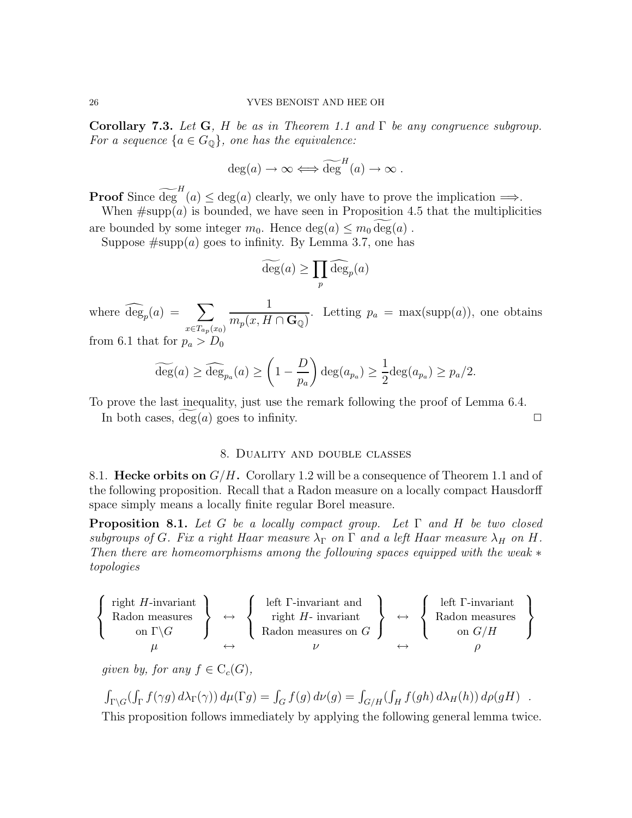Corollary 7.3. Let G, H be as in Theorem 1.1 and  $\Gamma$  be any congruence subgroup. For a sequence  $\{a \in G_{\mathbb{Q}}\}$ , one has the equivalence:

$$
\deg(a) \to \infty \Longleftrightarrow \widetilde{\deg}^H(a) \to \infty .
$$

**Proof** Since  $\widetilde{\deg}^H(a) \leq \deg(a)$  clearly, we only have to prove the implication  $\Longrightarrow$ .

When  $\#\text{supp}(a)$  is bounded, we have seen in Proposition 4.5 that the multiplicities are bounded by some integer  $m_0$ . Hence  $\deg(a) \leq m_0 \deg(a)$ .

Suppose  $\#\text{supp}(a)$  goes to infinity. By Lemma 3.7, one has

$$
\widetilde{\deg}(a) \ge \prod_p \widehat{\deg}_p(a)
$$

where  $\widehat{\deg}_p(a) = \sum$  $x \in T_{ap}(x_0)$ 1  $m_p(x, H \cap \mathbf{G}_{\mathbb{Q}})$ . Letting  $p_a = \max(\text{supp}(a))$ , one obtains from 6.1 that for  $p_a > D_0$ 

$$
\widetilde{\deg}(a) \ge \widehat{\deg}_{p_a}(a) \ge \left(1 - \frac{D}{p_a}\right) \deg(a_{p_a}) \ge \frac{1}{2} \deg(a_{p_a}) \ge p_a/2.
$$

To prove the last inequality, just use the remark following the proof of Lemma 6.4.

In both cases,  $deg(a)$  goes to infinity.

## 8. Duality and double classes

8.1. Hecke orbits on  $G/H$ . Corollary 1.2 will be a consequence of Theorem 1.1 and of the following proposition. Recall that a Radon measure on a locally compact Hausdorff space simply means a locally finite regular Borel measure.

**Proposition 8.1.** Let G be a locally compact group. Let  $\Gamma$  and H be two closed subgroups of G. Fix a right Haar measure  $\lambda_{\Gamma}$  on  $\Gamma$  and a left Haar measure  $\lambda_H$  on H. Then there are homeomorphisms among the following spaces equipped with the weak  $*$ topologies

$$
\left\{\begin{array}{c}\text{right } H\text{-invariant} \\ \text{Radon measures} \\ \text{on } \Gamma\backslash G \\ \mu \end{array}\right\} \leftrightarrow \left\{\begin{array}{c}\text{left }\Gamma\text{-invariant and} \\ \text{right } H\text{- invariant} \\ \text{Radon measures on } G\end{array}\right\} \leftrightarrow \left\{\begin{array}{c}\text{left }\Gamma\text{-invariant} \\ \text{Radon measures} \\ \text{on } G/H\end{array}\right\}
$$

qiven by, for any  $f \in C_c(G)$ ,

$$
\int_{\Gamma \backslash G} (\int_{\Gamma} f(\gamma g) d\lambda_{\Gamma}(\gamma)) d\mu(\Gamma g) = \int_{G} f(g) d\nu(g) = \int_{G/H} (\int_{H} f(gh) d\lambda_{H}(h)) d\rho(gH) .
$$

This proposition follows immediately by applying the following general lemma twice.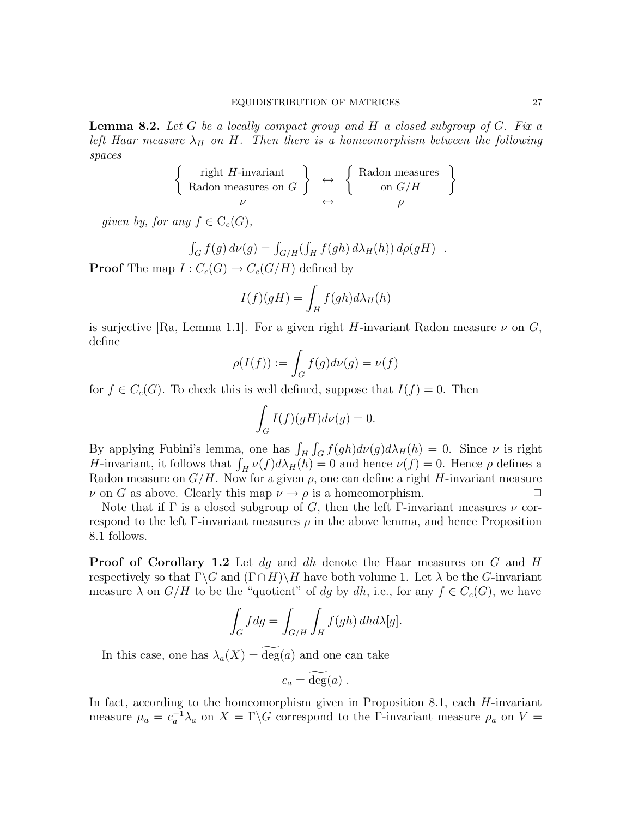**Lemma 8.2.** Let  $G$  be a locally compact group and  $H$  a closed subgroup of  $G$ . Fix a left Haar measure  $\lambda_H$  on H. Then there is a homeomorphism between the following spaces

$$
\left\{\begin{array}{c}\text{right }H\text{-invariant} \\ \text{Radon measures on }G\end{array}\right\}\quad \longleftrightarrow\quad \left\{\begin{array}{c}\text{Radon measures}\\\text{on }G/H\end{array}\right\}
$$

given by, for any  $f \in C_c(G)$ ,

$$
\int_G f(g) d\nu(g) = \int_{G/H} (\int_H f(gh) d\lambda_H(h)) d\rho(gH) .
$$

**Proof** The map  $I: C_c(G) \to C_c(G/H)$  defined by

$$
I(f)(gH) = \int_H f(gh)d\lambda_H(h)
$$

is surjective [Ra, Lemma 1.1]. For a given right H-invariant Radon measure  $\nu$  on G, define

$$
\rho(I(f)) := \int_G f(g)d\nu(g) = \nu(f)
$$

for  $f \in C_c(G)$ . To check this is well defined, suppose that  $I(f) = 0$ . Then

$$
\int_G I(f)(gH)d\nu(g) = 0.
$$

By applying Fubini's lemma, one has  $\int_H \int_G f(gh) d\nu(g) d\lambda_H(h) = 0$ . Since  $\nu$  is right H-invariant, it follows that  $\int_H \nu(f) d\lambda_H(h) = 0$  and hence  $\nu(f) = 0$ . Hence  $\rho$  defines a Radon measure on  $G/H$ . Now for a given  $\rho$ , one can define a right H-invariant measure  $\nu$  on G as above. Clearly this map  $\nu \to \rho$  is a homeomorphism.

Note that if  $\Gamma$  is a closed subgroup of G, then the left  $\Gamma$ -invariant measures  $\nu$  correspond to the left Γ-invariant measures  $\rho$  in the above lemma, and hence Proposition 8.1 follows.

Proof of Corollary 1.2 Let dq and dh denote the Haar measures on G and H respectively so that  $\Gamma \backslash G$  and  $(\Gamma \cap H) \backslash H$  have both volume 1. Let  $\lambda$  be the G-invariant measure  $\lambda$  on  $G/H$  to be the "quotient" of dg by dh, i.e., for any  $f \in C_c(G)$ , we have

$$
\int_G f dg = \int_{G/H} \int_H f(gh) \, dh d\lambda[g].
$$

In this case, one has  $\lambda_a(X) = \deg(a)$  and one can take

$$
c_a = \deg(a) \; .
$$

In fact, according to the homeomorphism given in Proposition 8.1, each  $H$ -invariant measure  $\mu_a = c_a^{-1} \lambda_a$  on  $X = \Gamma \backslash G$  correspond to the *Γ*-invariant measure  $\rho_a$  on  $V =$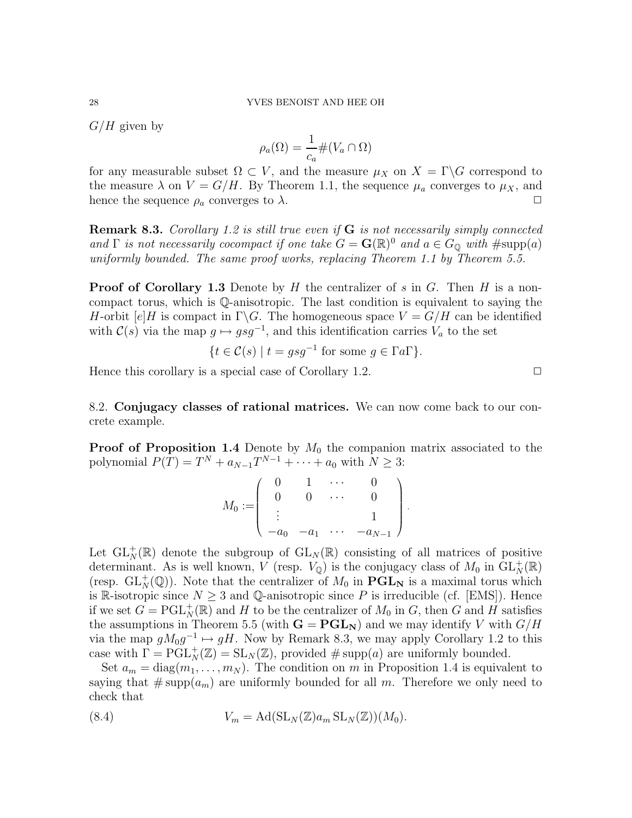$G/H$  given by

$$
\rho_a(\Omega) = \frac{1}{c_a} \# (V_a \cap \Omega)
$$

for any measurable subset  $\Omega \subset V$ , and the measure  $\mu_X$  on  $X = \Gamma \backslash G$  correspond to the measure  $\lambda$  on  $V = G/H$ . By Theorem 1.1, the sequence  $\mu_a$  converges to  $\mu_X$ , and hence the sequence  $\rho_a$  converges to  $\lambda$ .

**Remark 8.3.** Corollary 1.2 is still true even if  $G$  is not necessarily simply connected and  $\Gamma$  is not necessarily cocompact if one take  $G = \mathbf{G}(\mathbb{R})^0$  and  $a \in G_{\mathbb{Q}}$  with  $\#\text{supp}(a)$ uniformly bounded. The same proof works, replacing Theorem 1.1 by Theorem 5.5.

**Proof of Corollary 1.3** Denote by H the centralizer of s in G. Then H is a noncompact torus, which is Q-anisotropic. The last condition is equivalent to saying the H-orbit  $[e]$ H is compact in  $\Gamma \backslash G$ . The homogeneous space  $V = G/H$  can be identified with  $C(s)$  via the map  $g \mapsto gsg^{-1}$ , and this identification carries  $V_a$  to the set

$$
\{t \in \mathcal{C}(s) \mid t = gsg^{-1} \text{ for some } g \in \Gamma a \Gamma\}.
$$

Hence this corollary is a special case of Corollary 1.2.  $\Box$ 

8.2. Conjugacy classes of rational matrices. We can now come back to our concrete example.

**Proof of Proposition 1.4** Denote by  $M_0$  the companion matrix associated to the polynomial  $P(T) = T^N + a_{N-1}T^{N-1} + \cdots + a_0$  with  $N \geq 3$ :

$$
M_0 := \left(\begin{array}{cccc} 0 & 1 & \cdots & 0 \\ 0 & 0 & \cdots & 0 \\ \vdots & & & 1 \\ -a_0 & -a_1 & \cdots & -a_{N-1} \end{array}\right)
$$

.

Let  $\mathrm{GL}_N^+(\mathbb{R})$  denote the subgroup of  $\mathrm{GL}_N(\mathbb{R})$  consisting of all matrices of positive determinant. As is well known, V (resp.  $V_{\mathbb{Q}}$ ) is the conjugacy class of  $M_0$  in  $\mathrm{GL}^+_{N}(\mathbb{R})$ (resp.  $GL_N^+(\mathbb{Q})$ ). Note that the centralizer of  $M_0$  in  $\mathbf{PGL}_N$  is a maximal torus which is R-isotropic since  $N \geq 3$  and Q-anisotropic since P is irreducible (cf. [EMS]). Hence if we set  $G = \text{PGL}_N^+(\mathbb{R})$  and H to be the centralizer of  $M_0$  in G, then G and H satisfies the assumptions in Theorem 5.5 (with  $G = PGL_N$ ) and we may identify V with  $G/H$ via the map  $gM_0g^{-1} \mapsto gH$ . Now by Remark 8.3, we may apply Corollary 1.2 to this case with  $\Gamma = \text{PGL}_N^+(\mathbb{Z}) = \text{SL}_N(\mathbb{Z})$ , provided # supp $(a)$  are uniformly bounded.

Set  $a_m = \text{diag}(m_1, \ldots, m_N)$ . The condition on m in Proposition 1.4 is equivalent to saying that  $\#\text{supp}(a_m)$  are uniformly bounded for all m. Therefore we only need to check that

(8.4) 
$$
V_m = \mathrm{Ad}(\mathrm{SL}_N(\mathbb{Z})a_m \mathrm{SL}_N(\mathbb{Z}))(M_0).
$$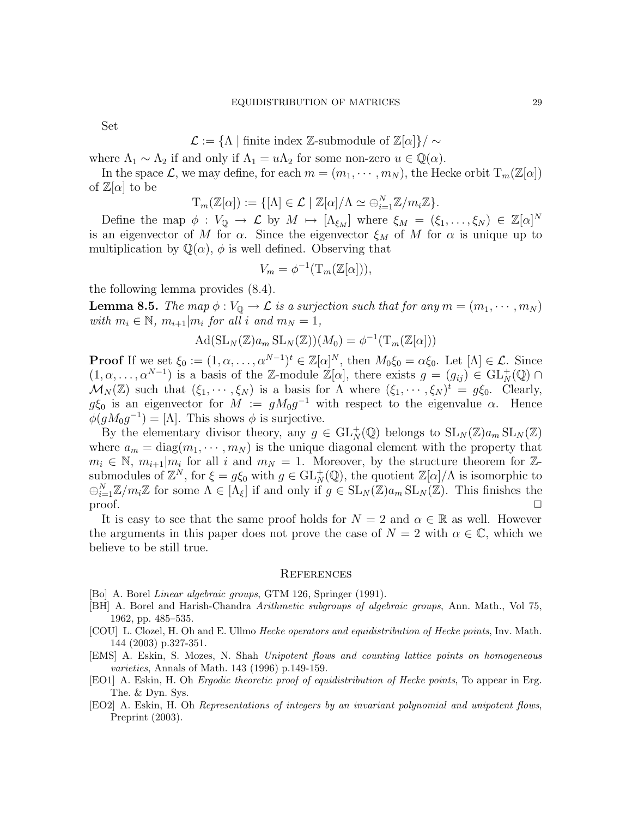Set

$$
\mathcal{L} := \{ \Lambda \mid \text{finite index } \mathbb{Z}\text{-submodule of }\mathbb{Z}[\alpha] \} / \sim
$$

where  $\Lambda_1 \sim \Lambda_2$  if and only if  $\Lambda_1 = u\Lambda_2$  for some non-zero  $u \in \mathbb{Q}(\alpha)$ .

In the space  $\mathcal{L}$ , we may define, for each  $m = (m_1, \dots, m_N)$ , the Hecke orbit  $T_m(\mathbb{Z}[\alpha])$ of  $\mathbb{Z}[\alpha]$  to be

$$
T_m(\mathbb{Z}[\alpha]) := \{ [\Lambda] \in \mathcal{L} \mid \mathbb{Z}[\alpha] / \Lambda \simeq \bigoplus_{i=1}^N \mathbb{Z} / m_i \mathbb{Z} \}.
$$

Define the map  $\phi: V_{\mathbb{Q}} \to \mathcal{L}$  by  $M \mapsto [\Lambda_{\xi_M}]$  where  $\xi_M = (\xi_1, \ldots, \xi_N) \in \mathbb{Z}[\alpha]^N$ is an eigenvector of M for  $\alpha$ . Since the eigenvector  $\xi_M$  of M for  $\alpha$  is unique up to multiplication by  $\mathbb{Q}(\alpha)$ ,  $\phi$  is well defined. Observing that

$$
V_m = \phi^{-1}(\mathrm{T}_m(\mathbb{Z}[\alpha])),
$$

the following lemma provides (8.4).

**Lemma 8.5.** The map  $\phi: V_{\mathbb{Q}} \to \mathcal{L}$  is a surjection such that for any  $m = (m_1, \dots, m_N)$ with  $m_i \in \mathbb{N}$ ,  $m_{i+1}|m_i$  for all i and  $m_N = 1$ ,

$$
\mathrm{Ad}(\mathrm{SL}_N(\mathbb{Z})a_m \mathrm{SL}_N(\mathbb{Z}))(M_0) = \phi^{-1}(\mathrm{T}_m(\mathbb{Z}[\alpha]))
$$

**Proof** If we set  $\xi_0 := (1, \alpha, \dots, \alpha^{N-1})^t \in \mathbb{Z}[\alpha]^N$ , then  $M_0 \xi_0 = \alpha \xi_0$ . Let  $[\Lambda] \in \mathcal{L}$ . Since  $(1, \alpha, \ldots, \alpha^{N-1})$  is a basis of the Z-module  $\mathbb{Z}[\alpha]$ , there exists  $g = (g_{ij}) \in GL^+(\mathbb{Q})$  $\mathcal{M}_N(\mathbb{Z})$  such that  $(\xi_1,\cdots,\xi_N)$  is a basis for  $\Lambda$  where  $(\xi_1,\cdots,\xi_N)^t = g\xi_0$ . Clearly,  $g\xi_0$  is an eigenvector for  $M := gM_0g^{-1}$  with respect to the eigenvalue  $\alpha$ . Hence  $\phi(gM_0g^{-1})=[\Lambda]$ . This shows  $\phi$  is surjective.

By the elementary divisor theory, any  $g \in GL_N(\mathbb{Q})$  belongs to  $SL_N(\mathbb{Z})a_m SL_N(\mathbb{Z})$ where  $a_m = \text{diag}(m_1, \dots, m_N)$  is the unique diagonal element with the property that  $m_i \in \mathbb{N}, m_{i+1}|m_i$  for all i and  $m_N = 1$ . Moreover, by the structure theorem for  $\mathbb{Z}$ submodules of  $\mathbb{Z}^N$ , for  $\xi = g\xi_0$  with  $g \in GL^+(\mathbb{Q})$ , the quotient  $\mathbb{Z}[\alpha]/\Lambda$  is isomorphic to  $\bigoplus_{i=1}^N \mathbb{Z}/m_i\mathbb{Z}$  for some  $\Lambda \in [\Lambda_\xi]$  if and only if  $g \in SL_N(\mathbb{Z})a_m SL_N(\mathbb{Z})$ . This finishes the  $\Box$  proof.  $\Box$ 

It is easy to see that the same proof holds for  $N = 2$  and  $\alpha \in \mathbb{R}$  as well. However the arguments in this paper does not prove the case of  $N = 2$  with  $\alpha \in \mathbb{C}$ , which we believe to be still true.

#### **REFERENCES**

- [Bo] A. Borel Linear algebraic groups, GTM 126, Springer (1991).
- [BH] A. Borel and Harish-Chandra Arithmetic subgroups of algebraic groups, Ann. Math., Vol 75, 1962, pp. 485–535.
- [COU] L. Clozel, H. Oh and E. Ullmo Hecke operators and equidistribution of Hecke points, Inv. Math. 144 (2003) p.327-351.
- [EMS] A. Eskin, S. Mozes, N. Shah Unipotent flows and counting lattice points on homogeneous varieties, Annals of Math. 143 (1996) p.149-159.
- [EO1] A. Eskin, H. Oh Ergodic theoretic proof of equidistribution of Hecke points, To appear in Erg. The. & Dyn. Sys.
- [EO2] A. Eskin, H. Oh Representations of integers by an invariant polynomial and unipotent flows, Preprint  $(2003)$ .